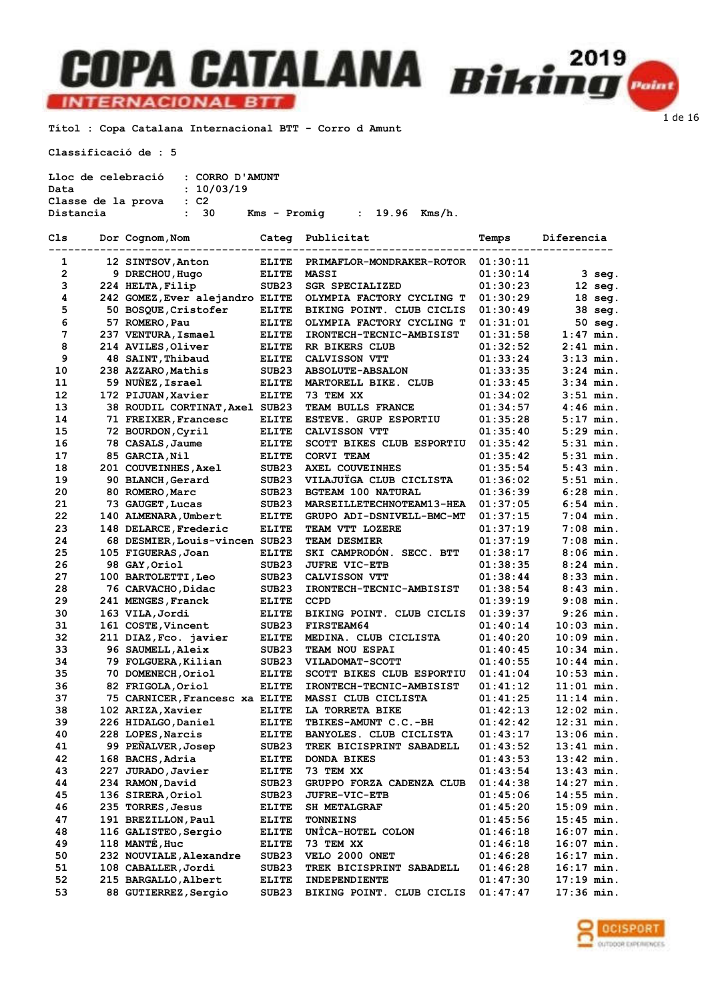### **INTERNACIONAL BTT**

Títol : Copa Catalana Internacional BTT - Corro d Amunt

Classificació de : 5

| Lloc de celebració : CORRO D'AMUNT |            |              |                |  |
|------------------------------------|------------|--------------|----------------|--|
| Data                               | : 10/03/19 |              |                |  |
| Classe de la prova                 | $\cdot$ C2 |              |                |  |
| Distancia                          | : 30       | Kms - Promia | : 19.96 Kms/h. |  |

| Cls            | Dor Cognom, Nom                 | Categ             | Publicitat                   | Temps    | Diferencia   |
|----------------|---------------------------------|-------------------|------------------------------|----------|--------------|
| 1              | 12 SINTSOV, Anton               | <b>ELITE</b>      | PRIMAFLOR-MONDRAKER-ROTOR    | 01:30:11 |              |
| $\overline{2}$ | 9 DRECHOU, Hugo                 | <b>ELITE</b>      | <b>MASSI</b>                 | 01:30:14 | 3 seg.       |
| 3              | 224 HELTA, Filip                | SUB <sub>23</sub> | <b>SGR SPECIALIZED</b>       | 01:30:23 | 12 seg.      |
| 4              | 242 GOMEZ, Ever alejandro ELITE |                   | OLYMPIA FACTORY CYCLING T    | 01:30:29 | 18 seg.      |
| 5              | 50 BOSQUE, Cristofer            | <b>ELITE</b>      | BIKING POINT. CLUB CICLIS    | 01:30:49 | 38 seg.      |
| 6              | 57 ROMERO, Pau                  | ELITE             | OLYMPIA FACTORY CYCLING T    | 01:31:01 | 50 seg.      |
| 7              | 237 VENTURA, Ismael             | ELITE             | IRONTECH-TECNIC-AMBISIST     | 01:31:58 | $1:47$ min.  |
| 8              | 214 AVILES, Oliver              | <b>ELITE</b>      | RR BIKERS CLUB               | 01:32:52 | $2:41$ min.  |
| 9              | 48 SAINT, Thibaud               | <b>ELITE</b>      | CALVISSON VTT                | 01:33:24 | $3:13$ min.  |
| 10             | 238 AZZARO, Mathis              | SUB <sub>23</sub> | <b>ABSOLUTE-ABSALON</b>      | 01:33:35 | $3:24$ min.  |
| 11             | 59 NUÑEZ, Israel                | <b>ELITE</b>      | MARTORELL BIKE. CLUB         | 01:33:45 | $3:34$ min.  |
| 12             | 172 PIJUAN, Xavier              | ELITE             | 73 TEM XX                    | 01:34:02 | $3:51$ min.  |
| 13             | 38 ROUDIL CORTINAT, Axel SUB23  |                   | TEAM BULLS FRANCE            | 01:34:57 | $4:46$ min.  |
| 14             | 71 FREIXER, Francesc            | <b>ELITE</b>      | <b>ESTEVE. GRUP ESPORTIU</b> | 01:35:28 | $5:17$ min.  |
| 15             | 72 BOURDON, Cyril               | <b>ELITE</b>      | CALVISSON VTT                | 01:35:40 | $5:29$ min.  |
| 16             | 78 CASALS, Jaume                | <b>ELITE</b>      | SCOTT BIKES CLUB ESPORTIU    | 01:35:42 | $5:31$ min.  |
| 17             | 85 GARCIA, Nil                  | ELITE             | CORVI TEAM                   | 01:35:42 | $5:31$ min.  |
| 18             | 201 COUVEINHES, Axel            | SUB <sub>23</sub> | AXEL COUVEINHES              | 01:35:54 | $5:43$ min.  |
| 19             | 90 BLANCH, Gerard               | SUB23             | VILAJUÏGA CLUB CICLISTA      | 01:36:02 | $5:51$ min.  |
| 20             | 80 ROMERO, Marc                 | SUB <sub>23</sub> | <b>BGTEAM 100 NATURAL</b>    | 01:36:39 | $6:28$ min.  |
| 21             | 73 GAUGET, Lucas                |                   | MARSEILLETECHNOTEAM13-HEA    |          | $6:54$ min.  |
|                |                                 | SUB <sub>23</sub> | GRUPO ADI-DSNIVELL-BMC-MT    | 01:37:05 |              |
| 22             | 140 ALMENARA, Umbert            | ELITE             |                              | 01:37:15 | $7:04$ min.  |
| 23             | 148 DELARCE, Frederic           | <b>ELITE</b>      | TEAM VTT LOZERE              | 01:37:19 | 7:08 min.    |
| 24             | 68 DESMIER, Louis-vincen SUB23  |                   | <b>TEAM DESMIER</b>          | 01:37:19 | $7:08$ min.  |
| 25             | 105 FIGUERAS, Joan              | <b>ELITE</b>      | SKI CAMPRODON. SECC. BTT     | 01:38:17 | $8:06$ min.  |
| 26             | 98 GAY, Oriol                   | SUB <sub>23</sub> | <b>JUFRE VIC-ETB</b>         | 01:38:35 | $8:24$ min.  |
| 27             | 100 BARTOLETTI, Leo             | SUB <sub>23</sub> | CALVISSON VTT                | 01:38:44 | $8:33$ min.  |
| 28             | 76 CARVACHO, Didac              | SUB <sub>23</sub> | IRONTECH-TECNIC-AMBISIST     | 01:38:54 | $8:43$ min.  |
| 29             | 241 MENGES, Franck              | <b>ELITE</b>      | <b>CCPD</b>                  | 01:39:19 | $9:08$ min.  |
| 30             | 163 VILA, Jordi                 | <b>ELITE</b>      | BIKING POINT. CLUB CICLIS    | 01:39:37 | $9:26$ min.  |
| 31             | 161 COSTE, Vincent              | SUB <sub>23</sub> | <b>FIRSTEAM64</b>            | 01:40:14 | $10:03$ min. |
| 32             | 211 DIAZ, Fco. javier           | ELITE             | MEDINA. CLUB CICLISTA        | 01:40:20 | $10:09$ min. |
| 33             | 96 SAUMELL, Aleix               | SUB <sub>23</sub> | <b>TEAM NOU ESPAI</b>        | 01:40:45 | 10:34 min.   |
| 34             | 79 FOLGUERA, Kilian             | SUB <sub>23</sub> | <b>VILADOMAT-SCOTT</b>       | 01:40:55 | 10:44 min.   |
| 35             | 70 DOMENECH, Oriol              | <b>ELITE</b>      | SCOTT BIKES CLUB ESPORTIU    | 01:41:04 | $10:53$ min. |
| 36             | 82 FRIGOLA, Oriol               | <b>ELITE</b>      | IRONTECH-TECNIC-AMBISIST     | 01:41:12 | $11:01$ min. |
| 37             | 75 CARNICER, Francesc xa ELITE  |                   | MASSI CLUB CICLISTA          | 01:41:25 | $11:14$ min. |
| 38             | 102 ARIZA, Xavier               | <b>ELITE</b>      | LA TORRETA BIKE              | 01:42:13 | $12:02$ min. |
| 39             | 226 HIDALGO, Daniel             | <b>ELITE</b>      | TBIKES-AMUNT C.C.-BH         | 01:42:42 | $12:31$ min. |
| 40             | 228 LOPES, Narcis               | <b>ELITE</b>      | BANYOLES. CLUB CICLISTA      | 01:43:17 | $13:06$ min. |
| 41             | 99 PEÑALVER, Josep              | SUB <sub>23</sub> | TREK BICISPRINT SABADELL     | 01:43:52 | $13:41$ min. |
| 42             | 168 BACHS, Adria                | <b>ELITE</b>      | <b>DONDA BIKES</b>           | 01:43:53 | 13:42 min.   |
| 43             | 227 JURADO, Javier              | <b>ELITE</b>      | 73 TEM XX                    | 01:43:54 | $13:43$ min. |
| 44             | 234 RAMON, David                | SUB <sub>23</sub> | GRUPPO FORZA CADENZA CLUB    | 01:44:38 | 14:27 min.   |
| 45             | 136 SIRERA, Oriol               | SUB23             | <b>JUFRE-VIC-ETB</b>         | 01:45:06 | $14:55$ min. |
| 46             | 235 TORRES, Jesus               | ELITE             | <b>SH METALGRAF</b>          | 01:45:20 | 15:09 min.   |
| 47             | 191 BREZILLON, Paul             | ELITE             | <b>TONNEINS</b>              | 01:45:56 | $15:45$ min. |
| 48             | 116 GALISTEO, Sergio            | <b>ELITE</b>      | UNÎCA-HOTEL COLON            | 01:46:18 | 16:07 min.   |
| 49             | 118 MANTÉ, Huc                  | ELITE             | 73 TEM XX                    | 01:46:18 | 16:07 min.   |
| 50             | 232 NOUVIALE, Alexandre         | SUB <sub>23</sub> | VELO 2000 ONET               | 01:46:28 | $16:17$ min. |
| 51             | 108 CABALLER, Jordi             | SUB <sub>23</sub> | TREK BICISPRINT SABADELL     | 01:46:28 | 16:17 min.   |
| 52             | 215 BARGALLO, Albert            | ELITE             | INDEPENDIENTE                | 01:47:30 | $17:19$ min. |
| 53             | 88 GUTIERREZ, Sergio            | SUB23             | BIKING POINT. CLUB CICLIS    | 01:47:47 | $17:36$ min. |

**COPA CATALANA** Biking



1 de 16

**T** Point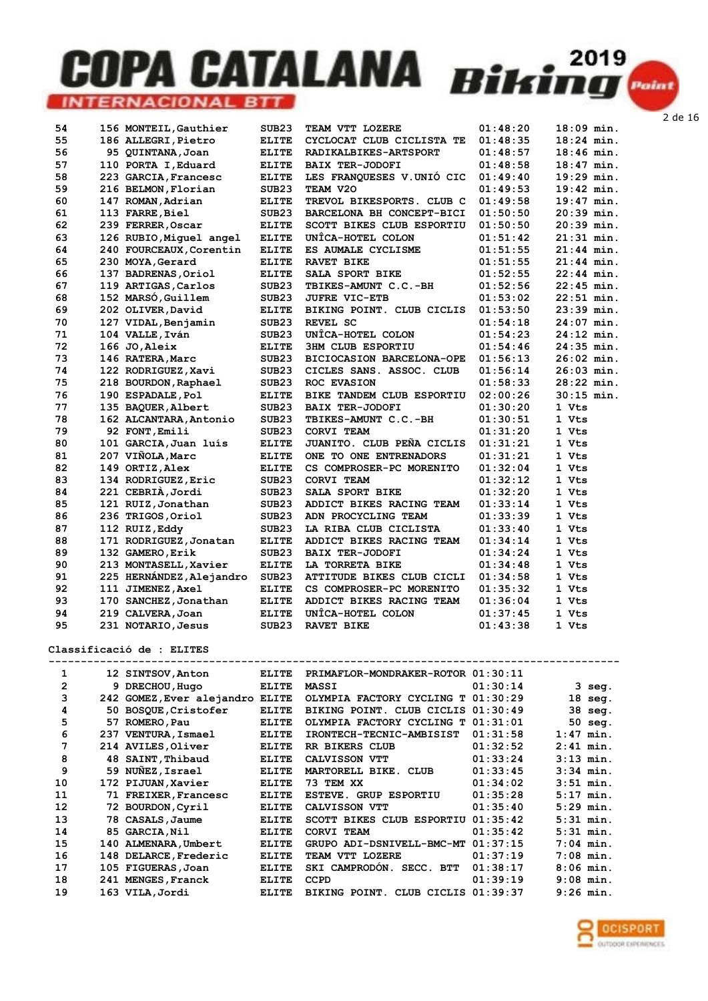| 54 | 156 MONTEIL, Gauthier    | SUB <sub>23</sub> | TEAM VTT LOZERE                  | 01:48:20 | 18:09 min.   |
|----|--------------------------|-------------------|----------------------------------|----------|--------------|
| 55 | 186 ALLEGRI, Pietro      | <b>ELITE</b>      | CYCLOCAT CLUB CICLISTA TE        | 01:48:35 | $18:24$ min. |
| 56 | 95 QUINTANA, Joan        | <b>ELITE</b>      | RADIKALBIKES-ARTSPORT            | 01:48:57 | $18:46$ min. |
| 57 | 110 PORTA I, Eduard      | <b>ELITE</b>      | <b>BAIX TER-JODOFI</b>           | 01:48:58 | 18:47 min.   |
| 58 | 223 GARCIA, Francesc     | <b>ELITE</b>      | LES FRANQUESES V.UNIÓ CIC        | 01:49:40 | $19:29$ min. |
| 59 | 216 BELMON, Florian      | SUB <sub>23</sub> | TEAM V20                         | 01:49:53 | 19:42 min.   |
| 60 | 147 ROMAN, Adrian        | <b>ELITE</b>      | TREVOL BIKESPORTS. CLUB C        | 01:49:58 | $19:47$ min. |
| 61 | 113 FARRE, Biel          | SUB <sub>23</sub> | BARCELONA BH CONCEPT-BICI        | 01:50:50 | $20:39$ min. |
| 62 | 239 FERRER, Oscar        | <b>ELITE</b>      | SCOTT BIKES CLUB ESPORTIU        | 01:50:50 | 20:39 min.   |
| 63 | 126 RUBIO, Miquel angel  | <b>ELITE</b>      | UNÎCA-HOTEL COLON                | 01:51:42 | $21:31$ min. |
| 64 | 240 FOURCEAUX, Corentin  | <b>ELITE</b>      | ES AUMALE CYCLISME               | 01:51:55 | $21:44$ min. |
| 65 | 230 MOYA, Gerard         | <b>ELITE</b>      | <b>RAVET BIKE</b>                | 01:51:55 | $21:44$ min. |
| 66 | 137 BADRENAS, Oriol      | <b>ELITE</b>      | SALA SPORT BIKE                  | 01:52:55 | $22:44$ min. |
| 67 | 119 ARTIGAS, Carlos      | SUB <sub>23</sub> | TBIKES-AMUNT C.C.-BH             | 01:52:56 | $22:45$ min. |
| 68 | 152 MARSÓ, Guillem       | SUB <sub>23</sub> | <b>JUFRE VIC-ETB</b>             | 01:53:02 | $22:51$ min. |
| 69 | 202 OLIVER, David        | <b>ELITE</b>      | BIKING POINT. CLUB CICLIS        | 01:53:50 | $23:39$ min. |
| 70 | 127 VIDAL, Benjamin      | SUB <sub>23</sub> | REVEL SC                         | 01:54:18 | $24:07$ min. |
| 71 | 104 VALLE, Iván          | SUB <sub>23</sub> | UNÎCA-HOTEL COLON                | 01:54:23 | 24:12 min.   |
| 72 | 166 JO, Aleix            | <b>ELITE</b>      | <b>3HM CLUB ESPORTIU</b>         | 01:54:46 | 24:35 min.   |
| 73 | 146 RATERA, Marc         | SUB23             | <b>BICIOCASION BARCELONA-OPE</b> | 01:56:13 | $26:02$ min. |
| 74 | 122 RODRIGUEZ, Xavi      | SUB <sub>23</sub> | CICLES SANS. ASSOC. CLUB         | 01:56:14 | 26:03 min.   |
| 75 | 218 BOURDON, Raphael     | SUB <sub>23</sub> | <b>ROC EVASION</b>               | 01:58:33 | 28:22 min.   |
| 76 | 190 ESPADALE, Pol        | <b>ELITE</b>      | BIKE TANDEM CLUB ESPORTIU        | 02:00:26 | 30:15 min.   |
| 77 | 135 BAQUER, Albert       | SUB <sub>23</sub> | <b>BAIX TER-JODOFI</b>           | 01:30:20 | 1 Vts        |
| 78 | 162 ALCANTARA, Antonio   | SUB <sub>23</sub> | TBIKES-AMUNT C.C.-BH             | 01:30:51 | 1 Vts        |
| 79 | 92 FONT, Emili           | SUB <sub>23</sub> | <b>CORVI TEAM</b>                | 01:31:20 | 1 Vts        |
| 80 | 101 GARCIA, Juan luis    | <b>ELITE</b>      | JUANITO. CLUB PEÑA CICLIS        | 01:31:21 | 1 Vts        |
| 81 | 207 VIÑOLA, Marc         | <b>ELITE</b>      | ONE TO ONE ENTRENADORS           | 01:31:21 | 1 Vts        |
| 82 | 149 ORTIZ, Alex          | <b>ELITE</b>      | CS COMPROSER-PC MORENITO         | 01:32:04 | 1 Vts        |
| 83 | 134 RODRIGUEZ, Eric      | SUB <sub>23</sub> | <b>CORVI TEAM</b>                | 01:32:12 | 1 Vts        |
| 84 | 221 CEBRIA, Jordi        | SUB <sub>23</sub> | SALA SPORT BIKE                  | 01:32:20 | 1 Vts        |
| 85 | 121 RUIZ, Jonathan       | SUB <sub>23</sub> | ADDICT BIKES RACING TEAM         | 01:33:14 | 1 Vts        |
| 86 | 236 TRIGOS, Oriol        | SUB <sub>23</sub> | ADN PROCYCLING TEAM              | 01:33:39 | 1 Vts        |
| 87 | 112 RUIZ, Eddy           | SUB <sub>23</sub> | LA RIBA CLUB CICLISTA            | 01:33:40 | 1 Vts        |
| 88 | 171 RODRIGUEZ, Jonatan   | <b>ELITE</b>      | ADDICT BIKES RACING TEAM         | 01:34:14 | 1 Vts        |
| 89 | 132 GAMERO, Erik         | SUB <sub>23</sub> | <b>BAIX TER-JODOFI</b>           | 01:34:24 | 1 Vts        |
| 90 | 213 MONTASELL, Xavier    | <b>ELITE</b>      | LA TORRETA BIKE                  | 01:34:48 | 1 Vts        |
| 91 | 225 HERNÁNDEZ, Alejandro | SUB <sub>23</sub> | ATTITUDE BIKES CLUB CICLI        | 01:34:58 | 1 Vts        |
| 92 | 111 JIMENEZ, Axel        | <b>ELITE</b>      | CS COMPROSER-PC MORENITO         | 01:35:32 | 1 Vts        |
| 93 | 170 SANCHEZ, Jonathan    | <b>ELITE</b>      | ADDICT BIKES RACING TEAM         | 01:36:04 | 1 Vts        |
| 94 | 219 CALVERA, Joan        | <b>ELITE</b>      | UNÎCA-HOTEL COLON                | 01:37:45 | 1 Vts        |
| 95 | 231 NOTARIO, Jesus       | SUB <sub>23</sub> | <b>RAVET BIKE</b>                | 01:43:38 | 1 Vts        |

Classificació de : ELITES

| 1  |     | 12 SINTSOV, Anton         | <b>ELITE</b> | PRIMAFLOR-MONDRAKER-ROTOR              | 01:30:11 |             |
|----|-----|---------------------------|--------------|----------------------------------------|----------|-------------|
| 2  |     | 9 DRECHOU, Hugo           | <b>ELITE</b> | <b>MASSI</b>                           | 01:30:14 | $3$ seg.    |
| 3  |     | 242 GOMEZ, Ever alejandro | <b>ELITE</b> | OLYMPIA FACTORY CYCLING T              | 01:30:29 | $18$ seg.   |
| 4  | 50. | BOSQUE, Cristofer         | <b>ELITE</b> | BIKING POINT. CLUB CICLIS              | 01:30:49 | 38 seg.     |
| 5  | 57  | ROMERO, Pau               | <b>ELITE</b> | OLYMPIA FACTORY CYCLING T              | 01:31:01 | 50 seg.     |
| 6  | 237 | VENTURA, Ismael           | <b>ELITE</b> | IRONTECH-TECNIC-AMBISIST               | 01:31:58 | $1:47$ min. |
| 7  |     | 214 AVILES, Oliver        | <b>ELITE</b> | <b>RR BIKERS CLUB</b>                  | 01:32:52 | $2:41$ min. |
| 8  |     | 48 SAINT, Thibaud         | <b>ELITE</b> | CALVISSON VTT                          | 01:33:24 | $3:13$ min. |
| 9  |     | 59 NUNEZ, Israel          | <b>ELITE</b> | MARTORELL BIKE. CLUB                   | 01:33:45 | $3:34$ min. |
| 10 |     | 172 PIJUAN, Xavier        | <b>ELITE</b> | 73 TEM XX                              | 01:34:02 | $3:51$ min. |
| 11 |     | 71 FREIXER, Francesc      | <b>ELITE</b> | <b>ESTEVE. GRUP ESPORTIU</b>           | 01:35:28 | $5:17$ min. |
| 12 | 72. | BOURDON, Cyril            | <b>ELITE</b> | CALVISSON VTT                          | 01:35:40 | $5:29$ min. |
| 13 |     | 78 CASALS, Jaume          | <b>ELITE</b> | SCOTT BIKES CLUB ESPORTIU              | 01:35:42 | $5:31$ min. |
| 14 | 85  | GARCIA, Nil               | <b>ELITE</b> | CORVI TEAM                             | 01:35:42 | $5:31$ min. |
| 15 |     | 140 ALMENARA, Umbert      | <b>ELITE</b> | GRUPO ADI-DSNIVELL-BMC-MT              | 01:37:15 | $7:04$ min. |
| 16 |     | 148 DELARCE, Frederic     | <b>ELITE</b> | TEAM VTT LOZERE                        | 01:37:19 | $7:08$ min. |
| 17 |     | 105 FIGUERAS, Joan        | <b>ELITE</b> | SKI CAMPRODON. SECC. BTT               | 01:38:17 | $8:06$ min. |
| 18 |     | 241 MENGES, Franck        | <b>ELITE</b> | <b>CCPD</b>                            | 01:39:19 | $9:08$ min. |
| 19 |     | 163 VILA, Jordi           | <b>ELITE</b> | <b>BIKING</b><br>POINT.<br>CLUB CICLIS | 01:39:37 | $9:26$ min. |
|    |     |                           |              |                                        |          |             |

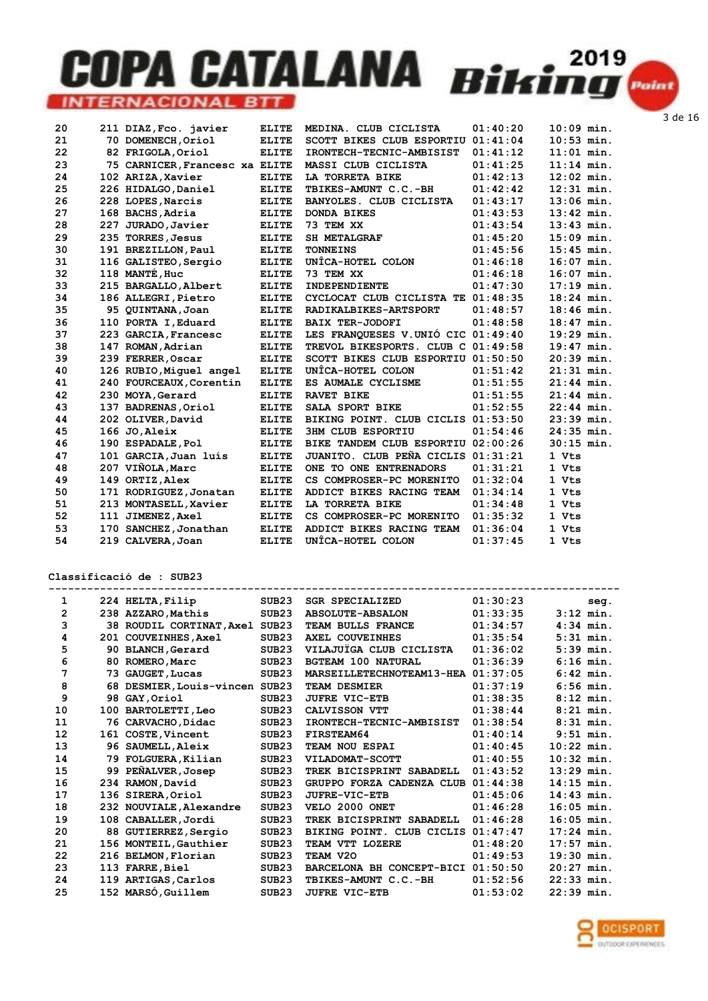| 20 |     | 211 DIAZ, Fco. javier          | <b>ELITE</b> | MEDINA. CLUB CICLISTA              | 01:40:20 | $10:09$ min. |
|----|-----|--------------------------------|--------------|------------------------------------|----------|--------------|
| 21 |     | 70 DOMENECH, Oriol             | <b>ELITE</b> | SCOTT BIKES CLUB ESPORTIU          | 01:41:04 | $10:53$ min. |
| 22 |     | 82 FRIGOLA, Oriol              | <b>ELITE</b> | IRONTECH-TECNIC-AMBISIST           | 01:41:12 | $11:01$ min. |
| 23 |     | 75 CARNICER, Francesc xa ELITE |              | MASSI CLUB CICLISTA                | 01:41:25 | $11:14$ min. |
| 24 |     | 102 ARIZA, Xavier              | <b>ELITE</b> | LA TORRETA BIKE                    | 01:42:13 | $12:02$ min. |
| 25 |     | 226 HIDALGO, Daniel            | <b>ELITE</b> | TBIKES-AMUNT C.C.-BH               | 01:42:42 | $12:31$ min. |
| 26 |     | 228 LOPES, Narcis              | <b>ELITE</b> | BANYOLES. CLUB CICLISTA            | 01:43:17 | $13:06$ min. |
| 27 |     | 168 BACHS, Adria               | <b>ELITE</b> | <b>DONDA BIKES</b>                 | 01:43:53 | $13:42$ min. |
| 28 | 227 | JURADO, Javier                 | <b>ELITE</b> | 73 TEM XX                          | 01:43:54 | $13:43$ min. |
| 29 | 235 | <b>TORRES, Jesus</b>           | <b>ELITE</b> | <b>SH METALGRAF</b>                | 01:45:20 | $15:09$ min. |
| 30 |     | 191 BREZILLON, Paul            | <b>ELITE</b> | <b>TONNEINS</b>                    | 01:45:56 | $15:45$ min. |
| 31 |     | 116 GALISTEO, Sergio           | <b>ELITE</b> | UNÎCA-HOTEL COLON                  | 01:46:18 | $16:07$ min. |
| 32 |     | 118 MANTÉ, Huc                 | <b>ELITE</b> | 73 TEM XX                          | 01:46:18 | $16:07$ min. |
| 33 |     | 215 BARGALLO, Albert           | <b>ELITE</b> | INDEPENDIENTE                      | 01:47:30 | $17:19$ min. |
| 34 |     | 186 ALLEGRI, Pietro            | <b>ELITE</b> | CYCLOCAT CLUB CICLISTA TE 01:48:35 |          | $18:24$ min. |
| 35 |     | 95 OUINTANA, Joan              | <b>ELITE</b> | RADIKALBIKES-ARTSPORT              | 01:48:57 | $18:46$ min. |
| 36 |     | 110 PORTA I.Eduard             | <b>ELITE</b> | <b>BAIX TER-JODOFI</b>             | 01:48:58 | $18:47$ min. |
| 37 |     | 223 GARCIA, Francesc           | <b>ELITE</b> | LES FRANQUESES V.UNIÓ CIC 01:49:40 |          | $19:29$ min. |
| 38 |     | 147 ROMAN, Adrian              | <b>ELITE</b> | TREVOL BIKESPORTS. CLUB C 01:49:58 |          | $19:47$ min. |
| 39 |     | 239 FERRER, Oscar              | <b>ELITE</b> | SCOTT BIKES CLUB ESPORTIU 01:50:50 |          | $20:39$ min. |
| 40 |     | 126 RUBIO, Miquel angel        | <b>ELITE</b> | UNÎCA-HOTEL COLON                  | 01:51:42 | $21:31$ min. |
| 41 |     | 240 FOURCEAUX, Corentin        | <b>ELITE</b> | ES AUMALE CYCLISME                 | 01:51:55 | $21:44$ min. |
| 42 |     | 230 MOYA, Gerard               | <b>ELITE</b> | <b>RAVET BIKE</b>                  | 01:51:55 | $21:44$ min. |
| 43 |     | 137 BADRENAS, Oriol            | <b>ELITE</b> | SALA SPORT BIKE                    | 01:52:55 | $22:44$ min. |
| 44 |     | 202 OLIVER, David              | <b>ELITE</b> | BIKING POINT. CLUB CICLIS 01:53:50 |          | $23:39$ min. |
| 45 |     | 166 JO, Aleix                  | <b>ELITE</b> | <b>3HM CLUB ESPORTIU</b>           | 01:54:46 | $24:35$ min. |
| 46 |     | 190 ESPADALE, Pol              | <b>ELITE</b> | BIKE TANDEM CLUB ESPORTIU 02:00:26 |          | $30:15$ min. |
| 47 |     | 101 GARCIA, Juan luís          | <b>ELITE</b> | JUANITO. CLUB PEÑA CICLIS 01:31:21 |          | 1 Vts        |
| 48 |     | 207 VIÑOLA, Marc               | <b>ELITE</b> | ONE TO ONE ENTRENADORS             | 01:31:21 | 1 Vts        |
| 49 |     | 149 ORTIZ, Alex                | <b>ELITE</b> | CS COMPROSER-PC MORENITO           | 01:32:04 | 1 Vts        |
| 50 |     | 171 RODRIGUEZ, Jonatan         | <b>ELITE</b> | ADDICT BIKES RACING TEAM           | 01:34:14 | 1 Vts        |
| 51 |     | 213 MONTASELL, Xavier          | <b>ELITE</b> | LA TORRETA BIKE                    | 01:34:48 | 1 Vts        |
| 52 |     | 111 JIMENEZ, Axel              | <b>ELITE</b> | CS COMPROSER-PC MORENITO           | 01:35:32 | 1 Vts        |
| 53 |     | 170 SANCHEZ, Jonathan          | <b>ELITE</b> | ADDICT BIKES RACING TEAM           | 01:36:04 | 1 Vts        |
| 54 |     | 219 CALVERA, Joan              | <b>ELITE</b> | UNÎCA-HOTEL COLON                  | 01:37:45 | 1 Vts        |

Classificació de : SUB23

| 1              |     | 224 HELTA, Filip               | SUB <sub>23</sub> | <b>SGR SPECIALIZED</b>             | 01:30:23 |              | seq. |
|----------------|-----|--------------------------------|-------------------|------------------------------------|----------|--------------|------|
| $\overline{2}$ |     | 238 AZZARO, Mathis             | SUB23             | <b>ABSOLUTE-ABSALON</b>            | 01:33:35 | $3:12$ min.  |      |
| 3              |     | 38 ROUDIL CORTINAT, Axel SUB23 |                   | TEAM BULLS FRANCE                  | 01:34:57 | $4:34$ min.  |      |
| 4              | 201 | COUVEINHES, Axel               | SUB <sub>23</sub> | AXEL COUVEINHES                    | 01:35:54 | $5:31$ min.  |      |
| 5              |     | 90 BLANCH, Gerard              | SUB <sub>23</sub> | VILAJUÏGA CLUB CICLISTA            | 01:36:02 | $5:39$ min.  |      |
| 6              | 80  | ROMERO, Marc                   | SUB <sub>23</sub> | <b>BGTEAM 100 NATURAL</b>          | 01:36:39 | $6:16$ min.  |      |
| 7              |     | 73 GAUGET, Lucas               | SUB <sub>23</sub> | MARSEILLETECHNOTEAM13-HEA 01:37:05 |          | $6:42$ min.  |      |
| 8              | 68  | DESMIER, Louis-vincen SUB23    |                   | TEAM DESMIER                       | 01:37:19 | $6:56$ min.  |      |
| 9              | 98. | GAY, Oriol                     | SUB <sub>23</sub> | <b>JUFRE VIC-ETB</b>               | 01:38:35 | $8:12$ min.  |      |
| 10             |     | 100 BARTOLETTI, Leo            | SUB <sub>23</sub> | CALVISSON VTT                      | 01:38:44 | $8:21$ min.  |      |
| 11             |     | 76 CARVACHO, Didac             | SUB23             | IRONTECH-TECNIC-AMBISIST           | 01:38:54 | $8:31$ min.  |      |
| 12             |     | 161 COSTE, Vincent             | SUB <sub>23</sub> | FIRSTEAM64                         | 01:40:14 | $9:51$ min.  |      |
| 13             |     | 96 SAUMELL, Aleix              | SUB23             | TEAM NOU ESPAI                     | 01:40:45 | $10:22$ min. |      |
| 14             | 79  | FOLGUERA, Kilian               | SUB <sub>23</sub> | VILADOMAT-SCOTT                    | 01:40:55 | $10:32$ min. |      |
| 15             | 99. | PEÑALVER, Josep                | SUB <sub>23</sub> | TREK BICISPRINT SABADELL           | 01:43:52 | $13:29$ min. |      |
| 16             |     | 234 RAMON, David               | SUB <sub>23</sub> | GRUPPO FORZA CADENZA CLUB          | 01:44:38 | $14:15$ min. |      |
| 17             |     | 136 SIRERA, Oriol              | SUB <sub>23</sub> | JUFRE-VIC-ETB                      | 01:45:06 | $14:43$ min. |      |
| 18             |     | 232 NOUVIALE, Alexandre        | SUB <sub>23</sub> | VELO 2000 ONET                     | 01:46:28 | $16:05$ min. |      |
| 19             |     | 108 CABALLER, Jordi            | SUB <sub>23</sub> | TREK BICISPRINT SABADELL           | 01:46:28 | $16:05$ min. |      |
| 20             |     | 88 GUTIERREZ, Sergio           | SUB <sub>23</sub> | BIKING POINT. CLUB CICLIS          | 01:47:47 | $17:24$ min. |      |
| 21             |     | 156 MONTEIL, Gauthier          | SUB <sub>23</sub> | TEAM VTT LOZERE                    | 01:48:20 | $17:57$ min. |      |
| 22             |     | 216 BELMON, Florian            | SUB <sub>23</sub> | TEAM V20                           | 01:49:53 | $19:30$ min. |      |
| 23             |     | 113 FARRE, Biel                | SUB <sub>23</sub> | BARCELONA BH CONCEPT-BICI          | 01:50:50 | $20:27$ min. |      |
| 24             |     | 119 ARTIGAS, Carlos            | SUB <sub>23</sub> | TBIKES-AMUNT C.C.-BH               | 01:52:56 | $22:33$ min. |      |
| 25             |     | 152 MARSÓ, Guillem             | SUB <sub>23</sub> | <b>JUFRE VIC-ETB</b>               | 01:53:02 | 22:39 min.   |      |

**OCISPORT** OUTDOOR EXPERIENCES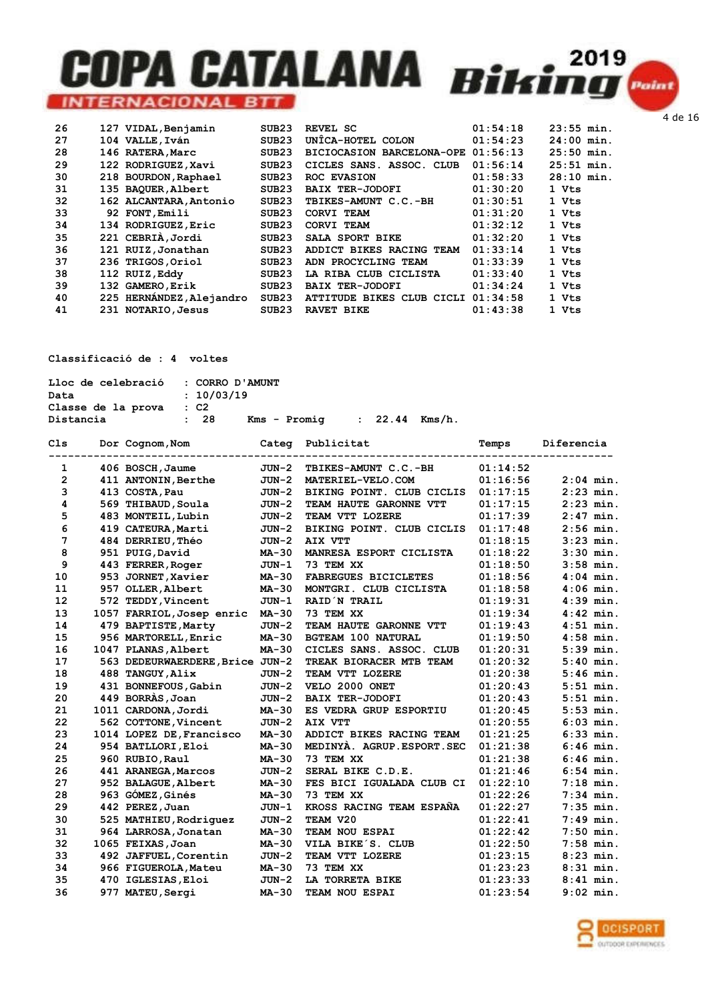|  | SUB <sub>23</sub>                                                                                                                                                                                                                                                                                                                                          | REVEL SC                  | 01:54:18 | $23:55$ min.                          |
|--|------------------------------------------------------------------------------------------------------------------------------------------------------------------------------------------------------------------------------------------------------------------------------------------------------------------------------------------------------------|---------------------------|----------|---------------------------------------|
|  | SUB <sub>23</sub>                                                                                                                                                                                                                                                                                                                                          | UNÎCA-HOTEL COLON         | 01:54:23 | $24:00$ min.                          |
|  | SUB <sub>23</sub>                                                                                                                                                                                                                                                                                                                                          | BICIOCASION BARCELONA-OPE | 01:56:13 | $25:50$ min.                          |
|  | SUB <sub>23</sub>                                                                                                                                                                                                                                                                                                                                          | CICLES SANS. ASSOC. CLUB  | 01:56:14 | $25:51$ min.                          |
|  | SUB <sub>23</sub>                                                                                                                                                                                                                                                                                                                                          | ROC EVASION               | 01:58:33 | $28:10$ min.                          |
|  | SUB <sub>23</sub>                                                                                                                                                                                                                                                                                                                                          | <b>BAIX TER-JODOFI</b>    | 01:30:20 | 1 Vts                                 |
|  | SUB <sub>23</sub>                                                                                                                                                                                                                                                                                                                                          | TBIKES-AMUNT C.C.-BH      | 01:30:51 | 1 Vts                                 |
|  | SUB <sub>23</sub>                                                                                                                                                                                                                                                                                                                                          | CORVI TEAM                | 01:31:20 | 1 Vts                                 |
|  | SUB <sub>23</sub>                                                                                                                                                                                                                                                                                                                                          | CORVI TEAM                | 01:32:12 | 1 Vts                                 |
|  | SUB23                                                                                                                                                                                                                                                                                                                                                      | SALA SPORT BIKE           | 01:32:20 | 1 Vts                                 |
|  | SUB <sub>23</sub>                                                                                                                                                                                                                                                                                                                                          | ADDICT BIKES RACING TEAM  | 01:33:14 | 1 Vts                                 |
|  | SUB <sub>23</sub>                                                                                                                                                                                                                                                                                                                                          | ADN PROCYCLING TEAM       | 01:33:39 | 1 Vts                                 |
|  | SUB <sub>23</sub>                                                                                                                                                                                                                                                                                                                                          | LA RIBA CLUB CICLISTA     | 01:33:40 | 1 Vts                                 |
|  | SUB <sub>23</sub>                                                                                                                                                                                                                                                                                                                                          | <b>BAIX TER-JODOFI</b>    | 01:34:24 | 1 Vts                                 |
|  | SUB <sub>23</sub>                                                                                                                                                                                                                                                                                                                                          |                           |          | 1 Vts                                 |
|  | SUB23                                                                                                                                                                                                                                                                                                                                                      | RAVET BIKE                | 01:43:38 | 1 Vts                                 |
|  | 127 VIDAL, Benjamin<br>104 VALLE, Iván<br>146 RATERA, Marc<br>122 RODRIGUEZ, Xavi<br>218 BOURDON, Raphael<br>135 BAQUER, Albert<br>162 ALCANTARA, Antonio<br>92 FONT, Emili<br>134 RODRIGUEZ, Eric<br>221 CEBRIÀ, Jordi<br>121 RUIZ, Jonathan<br>236 TRIGOS, Oriol<br>112 RUIZ, Eddy<br>132 GAMERO, Erik<br>225 HERNANDEZ, Alejandro<br>231 NOTARIO, Jesus |                           |          | 01:34:58<br>ATTITUDE BIKES CLUB CICLI |

#### Classificació de : 4 voltes

| Lloc de celebració : CORRO D'AMUNT |            |              |                  |  |
|------------------------------------|------------|--------------|------------------|--|
| Data                               | : 10/03/19 |              |                  |  |
| Classe de la prova                 | $\cdot$ C2 |              |                  |  |
| Distancia                          | : 28       | Kms - Promia | $: 22.44$ Kms/h. |  |

| Cls          | Dor Cognom, Nom                 |              | Categ Publicitat            | Temps    | Diferencia  |
|--------------|---------------------------------|--------------|-----------------------------|----------|-------------|
| 1            | 406 BOSCH, Jaume                | JUN-2        | TBIKES-AMUNT C.C.-BH        | 01:14:52 |             |
| $\mathbf{2}$ | 411 ANTONIN, Berthe             | $JUN-2$      | MATERIEL-VELO.COM           | 01:16:56 | $2:04$ min. |
| 3            | 413 COSTA, Pau                  | $JUN-2$      | BIKING POINT. CLUB CICLIS   | 01:17:15 | $2:23$ min. |
| 4            | 569 THIBAUD, Soula              | $JUN-2$      | TEAM HAUTE GARONNE VTT      | 01:17:15 | $2:23$ min. |
| 5            | 483 MONTEIL, Lubin              | $JUN-2$      | TEAM VTT LOZERE             | 01:17:39 | $2:47$ min. |
| 6            | 419 CATEURA, Marti              | $JUN-2$      | BIKING POINT. CLUB CICLIS   | 01:17:48 | $2:56$ min. |
| 7            | 484 DERRIEU, Théo               | $JUN-2$      | AIX VTT                     | 01:18:15 | $3:23$ min. |
| 8            | 951 PUIG, David                 | MA-30        | MANRESA ESPORT CICLISTA     | 01:18:22 | $3:30$ min. |
| 9            | 443 FERRER, Roger               | $JUN-1$      | 73 TEM XX                   | 01:18:50 | $3:58$ min. |
| 10           | 953 JORNET, Xavier              | <b>MA-30</b> | <b>FABREGUES BICICLETES</b> | 01:18:56 | $4:04$ min. |
| 11           | 957 OLLER, Albert               | $MA-30$      | MONTGRI. CLUB CICLISTA      | 01:18:58 | $4:06$ min. |
| 12           | 572 TEDDY, Vincent              | $JUN-1$      | RAID N TRAIL                | 01:19:31 | $4:39$ min. |
| 13           | 1057 FARRIOL, Josep enric       | $MA-30$      | 73 TEM XX                   | 01:19:34 | $4:42$ min. |
| 14           | 479 BAPTISTE, Marty             | JUN-2        | TEAM HAUTE GARONNE VTT      | 01:19:43 | $4:51$ min. |
| 15           | 956 MARTORELL, Enric            | <b>MA-30</b> | <b>BGTEAM 100 NATURAL</b>   | 01:19:50 | $4:58$ min. |
| 16           | 1047 PLANAS, Albert             | <b>MA-30</b> | CICLES SANS. ASSOC. CLUB    | 01:20:31 | $5:39$ min. |
| 17           | 563 DEDEURWAERDERE, Brice JUN-2 |              | TREAK BIORACER MTB TEAM     | 01:20:32 | $5:40$ min. |
| 18           | 488 TANGUY, Alix                | $JUN-2$      | TEAM VTT LOZERE             | 01:20:38 | $5:46$ min. |
| 19           | 431 BONNEFOUS, Gabin            | $JUN-2$      | VELO 2000 ONET              | 01:20:43 | $5:51$ min. |
| 20           | 449 BORRAS, Joan                | $JUN-2$      | <b>BAIX TER-JODOFI</b>      | 01:20:43 | $5:51$ min. |
| 21           | 1011 CARDONA, Jordi             | <b>MA-30</b> | ES VEDRA GRUP ESPORTIU      | 01:20:45 | $5:53$ min. |
| 22           | 562 COTTONE, Vincent            | $JUN-2$      | AIX VTT                     | 01:20:55 | $6:03$ min. |
| 23           | 1014 LOPEZ DE, Francisco        | <b>MA-30</b> | ADDICT BIKES RACING TEAM    | 01:21:25 | $6:33$ min. |
| 24           | 954 BATLLORI, Eloi              | MA-30        | MEDINYA. AGRUP. ESPORT. SEC | 01:21:38 | $6:46$ min. |
| 25           | 960 RUBIO, Raul                 | MA-30        | 73 TEM XX                   | 01:21:38 | $6:46$ min. |
| 26           | 441 ARANEGA, Marcos             | $JUN-2$      | SERAL BIKE C.D.E.           | 01:21:46 | $6:54$ min. |
| 27           | 952 BALAGUE, Albert             | <b>MA-30</b> | FES BICI IGUALADA CLUB CI   | 01:22:10 | $7:18$ min. |
| 28           | 963 GÓMEZ, Ginés                | <b>MA-30</b> | 73 TEM XX                   | 01:22:26 | $7:34$ min. |
| 29           | 442 PEREZ, Juan                 | JUN-1        | KROSS RACING TEAM ESPAÑA    | 01:22:27 | $7:35$ min. |
| 30           | 525 MATHIEU, Rodriquez          | $JUN-2$      | TEAM V20                    | 01:22:41 | $7:49$ min. |
| 31           | 964 LARROSA, Jonatan            | MA-30        | TEAM NOU ESPAI              | 01:22:42 | $7:50$ min. |
| 32           | 1065 FEIXAS, Joan               | MA-30        | VILA BIKE'S. CLUB           | 01:22:50 | $7:58$ min. |
| 33           | 492 JAFFUEL, Corentin           | $JUN-2$      | TEAM VTT LOZERE             | 01:23:15 | $8:23$ min. |
| 34           | 966 FIGUEROLA, Mateu            | MA-30        | 73 TEM XX                   | 01:23:23 | $8:31$ min. |
| 35           | 470 IGLESIAS, Eloi              | $JUN-2$      | LA TORRETA BIKE             | 01:23:33 | $8:41$ min. |
| 36           | 977 MATEU, Sergi                | MA-30        | TEAM NOU ESPAI              | 01:23:54 | $9:02$ min. |

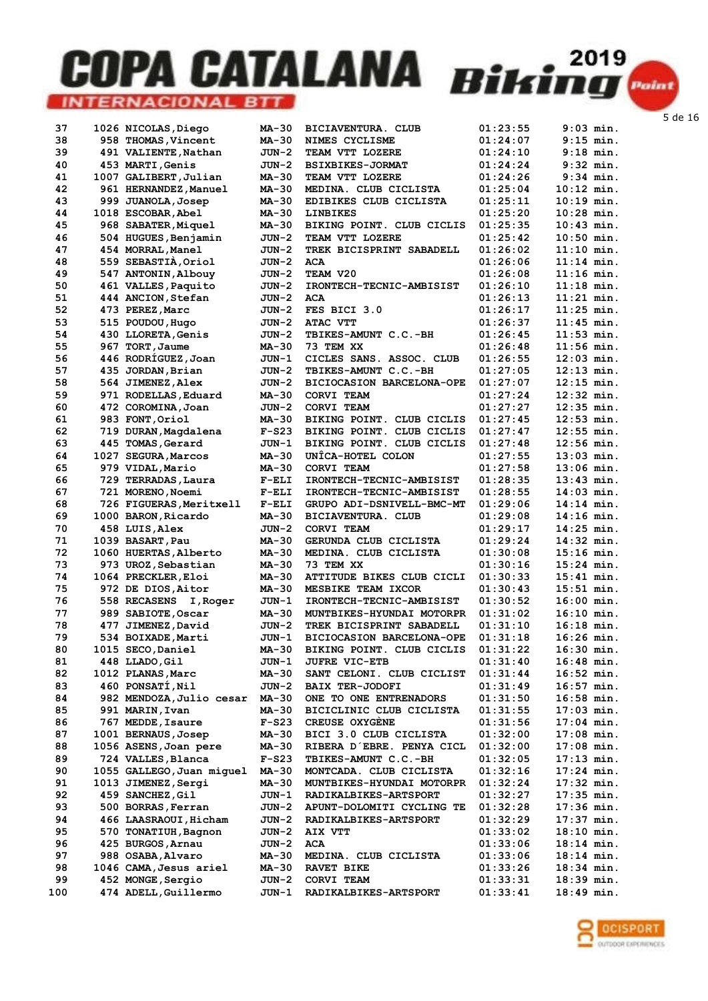| 37        | 1026 NICOLAS, Diego                       | <b>MA-30</b>   | <b>BICIAVENTURA. CLUB</b>           | 01:23:55             | $9:03$ min.                |
|-----------|-------------------------------------------|----------------|-------------------------------------|----------------------|----------------------------|
| 38        | 958 THOMAS, Vincent                       | MA-30          | NIMES CYCLISME                      | 01:24:07             | $9:15$ min.                |
| 39        | 491 VALIENTE, Nathan                      | JUN-2          | TEAM VTT LOZERE                     | 01:24:10             | $9:18$ min.                |
| 40        | 453 MARTI, Genis                          | $JUN-2$        | <b>BSIXBIKES-JORMAT</b>             | 01:24:24             | $9:32$ min.                |
|           |                                           |                |                                     |                      |                            |
| 41        | 1007 GALIBERT, Julian                     | MA-30          | TEAM VTT LOZERE                     | 01:24:26             | $9:34$ min.                |
| 42        | 961 HERNANDEZ, Manuel                     | MA-30          | MEDINA. CLUB CICLISTA               | 01:25:04             | $10:12$ min.               |
| 43        | 999 JUANOLA, Josep                        | MA-30          | EDIBIKES CLUB CICLISTA              | 01:25:11             | $10:19$ min.               |
| 44        |                                           | MA-30          | <b>LINBIKES</b>                     | 01:25:20             | $10:28$ min.               |
|           | 1018 ESCOBAR, Abel                        |                |                                     |                      |                            |
| 45        | 968 SABATER, Miquel                       | MA-30          | BIKING POINT. CLUB CICLIS           | 01:25:35             | $10:43$ min.               |
| 46        | 504 HUGUES, Benjamin                      | $JUN-2$        | TEAM VTT LOZERE                     | 01:25:42             | $10:50$ min.               |
| 47        | 454 MORRAL, Manel                         | $JUN-2$        | TREK BICISPRINT SABADELL            | 01:26:02             | $11:10$ min.               |
|           |                                           |                |                                     |                      |                            |
| 48        | 559 SEBASTIÀ, Oriol                       | JUN-2          | <b>ACA</b>                          | 01:26:06             | $11:14$ min.               |
| 49        | 547 ANTONIN, Albouy                       | $JUN-2$        | TEAM V20                            | 01:26:08             | $11:16$ min.               |
| 50        | 461 VALLES, Paquito                       | $JUN-2$        | IRONTECH-TECNIC-AMBISIST            | 01:26:10             | $11:18$ min.               |
| 51        | 444 ANCION, Stefan                        | JUN-2          | <b>ACA</b>                          | 01:26:13             | $11:21$ min.               |
|           |                                           |                |                                     |                      |                            |
| 52        | 473 PEREZ, Marc                           | $JUN-2$        | FES BICI 3.0                        | 01:26:17             | $11:25$ min.               |
| 53        | 515 POUDOU, Hugo                          | $JUN-2$        | ATAC VTT                            | 01:26:37             | $11:45$ min.               |
| 54        | 430 LLORETA, Genis                        | $JUN-2$        | TBIKES-AMUNT C.C.-BH                | 01:26:45             | $11:53$ min.               |
| 55        | 967 TORT, Jaume                           | MA-30          | 73 TEM XX                           | 01:26:48             | $11:56$ min.               |
|           |                                           |                |                                     |                      |                            |
| 56        | 446 RODRÍGUEZ, Joan                       | JUN-1          | CICLES SANS. ASSOC. CLUB            | 01:26:55             | $12:03$ min.               |
| 57        | 435 JORDAN, Brian                         | $JUN-2$        | <b>TBIKES-AMUNT C.C.-BH</b>         | 01:27:05             | $12:13$ min.               |
| 58        | 564 JIMENEZ, Alex                         | $JUN-2$        | BICIOCASION BARCELONA-OPE           | 01:27:07             | $12:15$ min.               |
|           |                                           |                |                                     |                      |                            |
| 59        | 971 RODELLAS, Eduard                      | MA-30          | CORVI TEAM                          | 01:27:24             | $12:32$ min.               |
| 60        | 472 COROMINA, Joan                        | $JUN-2$        | CORVI TEAM                          | 01:27:27             | $12:35$ min.               |
| 61        | 983 FONT, Oriol                           | <b>MA-30</b>   | BIKING POINT. CLUB CICLIS           | 01:27:45             | $12:53$ min.               |
| 62        | 719 DURAN, Magdalena                      | $F-S23$        | BIKING POINT. CLUB CICLIS           | 01:27:47             | $12:55$ min.               |
|           |                                           |                |                                     |                      |                            |
| 63        | 445 TOMAS, Gerard                         | JUN-1          | BIKING POINT. CLUB CICLIS           | 01:27:48             | $12:56$ min.               |
| 64        | 1027 SEGURA, Marcos                       | MA-30          | UNICA-HOTEL COLON                   | 01:27:55             | $13:03$ min.               |
| 65        | 979 VIDAL, Mario                          | MA-30          | CORVI TEAM                          | 01:27:58             | $13:06$ min.               |
|           |                                           |                |                                     |                      |                            |
| 66        | 729 TERRADAS, Laura                       | $F-ELI$        | IRONTECH-TECNIC-AMBISIST            | 01:28:35             | $13:43$ min.               |
| 67        | 721 MORENO, Noemi                         | $F-ELI$        | <b>IRONTECH-TECNIC-AMBISIST</b>     | 01:28:55             | $14:03$ min.               |
| 68        | 726 FIGUERAS, Meritxell                   | $F-ELI$        | GRUPO ADI-DSNIVELL-BMC-MT           | 01:29:06             | 14:14 min.                 |
| 69        | 1000 BARON, Ricardo                       | MA-30          | BICIAVENTURA. CLUB                  | 01:29:08             | $14:16$ min.               |
|           |                                           |                |                                     |                      |                            |
| 70        | 458 LUIS, Alex                            | $JUN-2$        | CORVI TEAM                          | 01:29:17             | $14:25$ min.               |
| 71        | 1039 BASART, Pau                          | MA-30          | GERUNDA CLUB CICLISTA               | 01:29:24             | $14:32$ min.               |
| 72        | 1060 HUERTAS, Alberto                     | MA-30          | MEDINA. CLUB CICLISTA               | 01:30:08             | $15:16$ min.               |
| 73        | 973 UROZ, Sebastian                       | MA-30          | 73 TEM XX                           | 01:30:16             | $15:24$ min.               |
|           |                                           |                |                                     |                      |                            |
| 74        | 1064 PRECKLER, Eloi                       | MA-30          | ATTITUDE BIKES CLUB CICLI           | 01:30:33             | $15:41$ min.               |
| 75        | 972 DE DIOS, Aitor                        | MA-30          | MESBIKE TEAM IXCOR                  | 01:30:43             | $15:51$ min.               |
| 76        | <b>558 RECASENS</b><br>I, Roger           | JUN-1          | IRONTECH-TECNIC-AMBISIST            | 01:30:52             | $16:00$ min.               |
|           |                                           |                |                                     |                      |                            |
| 77        | 989 SABIOTE, Oscar                        | MA-30          | MUNTBIKES-HYUNDAI MOTORPR           | 01:31:02             | $16:10$ min.               |
| 78        | 477 JIMENEZ, David                        | $JUN-2$        | TREK BICISPRINT SABADELL            | 01:31:10             | $16:18$ min.               |
| 79        | 534 BOIXADE, Marti                        | $JUN-1$        | BICIOCASION BARCELONA-OPE           | 01:31:18             | 16:26 min.                 |
| 80        | 1015 SECO, Daniel                         | MA-30          | BIKING POINT. CLUB CICLIS           | 01:31:22             | 16:30 min.                 |
|           |                                           |                |                                     |                      |                            |
| 81        | 448 LLADO, Gil                            | JUN-1          | <b>JUFRE VIC-ETB</b>                | 01:31:40             | 16:48 min.                 |
| 82        | 1012 PLANAS, Marc                         | <b>MA-30</b>   | SANT CELONI. CLUB CICLIST           | 01:31:44             | 16:52 min.                 |
| 83        | 460 PONSATI, Nil                          | $JUN-2$        | <b>BAIX TER-JODOFI</b>              | 01:31:49             | 16:57 min.                 |
| 84        | 982 MENDOZA, Julio cesar                  | MA-30          | ONE TO ONE ENTRENADORS              | 01:31:50             | 16:58 min.                 |
|           |                                           |                |                                     |                      |                            |
| 85        | 991 MARIN, Ivan                           | MA-30          | BICICLINIC CLUB CICLISTA            | 01:31:55             | 17:03 min.                 |
| 86        | 767 MEDDE, Isaure                         | $F-S23$        | <b>CREUSE OXYGENE</b>               | 01:31:56             | 17:04 min.                 |
| 87        | 1001 BERNAUS, Josep                       | MA-30          | BICI 3.0 CLUB CICLISTA              | 01:32:00             | $17:08$ min.               |
| 88        | 1056 ASENS, Joan pere                     | MA-30          | RIBERA D'EBRE. PENYA CICL           | 01:32:00             | 17:08 min.                 |
|           |                                           |                |                                     |                      |                            |
| 89        | 724 VALLES, Blanca                        | $F-S23$        | TBIKES-AMUNT C.C.-BH                | 01:32:05             | 17:13 min.                 |
| 90        | 1055 GALLEGO, Juan miguel                 | MA-30          | MONTCADA. CLUB CICLISTA             | 01:32:16             | 17:24 min.                 |
| 91        | 1013 JIMENEZ, Sergi                       | MA-30          | MUNTBIKES-HYUNDAI MOTORPR           | 01:32:24             | 17:32 min.                 |
| 92        | 459 SANCHEZ, Gil                          |                |                                     |                      |                            |
|           |                                           | JUN-1          | RADIKALBIKES-ARTSPORT               | 01:32:27             | $17:35$ min.               |
| 93        | 500 BORRAS, Ferran                        | JUN-2          | APUNT-DOLOMITI CYCLING TE           | 01:32:28             | 17:36 min.                 |
| 94        | 466 LAASRAOUI, Hicham                     | JUN-2          | RADIKALBIKES-ARTSPORT               | 01:32:29             | 17:37 min.                 |
| 95        | 570 TONATIUH, Bagnon                      | JUN-2          | AIX VTT                             | 01:33:02             | 18:10 min.                 |
|           |                                           |                |                                     |                      |                            |
| 96        | 425 BURGOS, Arnau                         | $JUN-2$        | ACA                                 | 01:33:06             | 18:14 min.                 |
| 97        | 988 OSABA, Alvaro                         | MA-30          | MEDINA. CLUB CICLISTA               | 01:33:06             | 18:14 min.                 |
| 98        | 1046 CAMA, Jesus ariel                    | MA-30          | <b>RAVET BIKE</b>                   | 01:33:26             | 18:34 min.                 |
|           |                                           |                |                                     |                      |                            |
|           |                                           |                |                                     |                      |                            |
| 99<br>100 | 452 MONGE, Sergio<br>474 ADELL, Guillermo | JUN-2<br>JUN-1 | CORVI TEAM<br>RADIKALBIKES-ARTSPORT | 01:33:31<br>01:33:41 | 18:39 min.<br>$18:49$ min. |

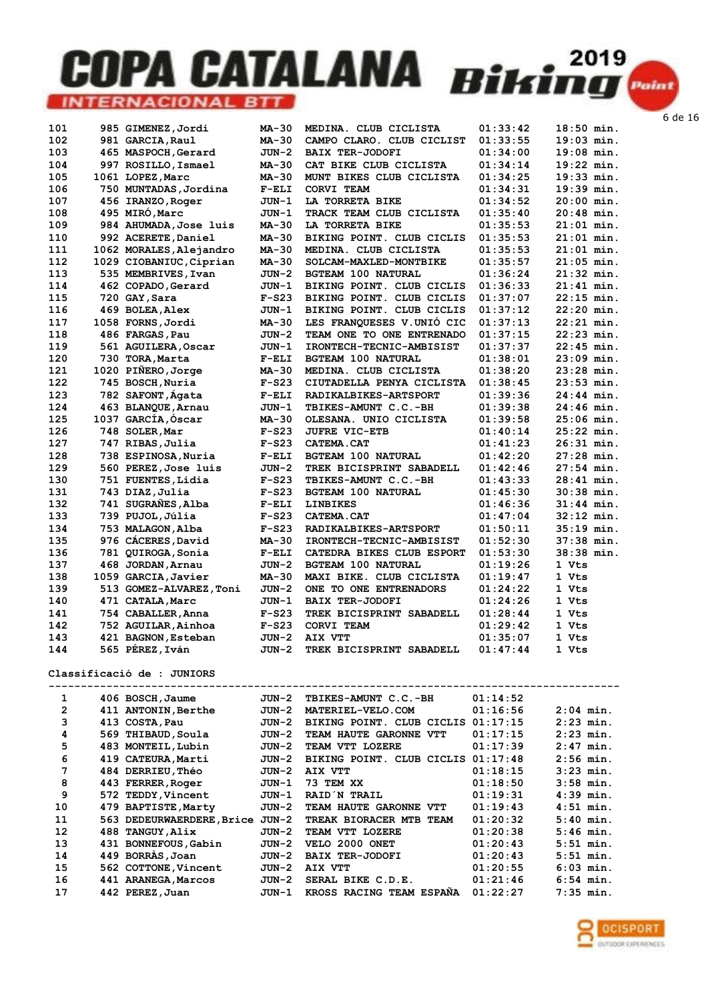| 101 | 985 GIMENEZ, Jordi      | MA-30   | MEDINA. CLUB CICLISTA     | 01:33:42 | $18:50$ min. |
|-----|-------------------------|---------|---------------------------|----------|--------------|
| 102 | 981 GARCIA, Raul        | MA-30   | CAMPO CLARO. CLUB CICLIST | 01:33:55 | $19:03$ min. |
| 103 | 465 MASPOCH, Gerard     | $JUN-2$ | <b>BAIX TER-JODOFI</b>    | 01:34:00 | $19:08$ min. |
| 104 | 997 ROSILLO, Ismael     | MA-30   | CAT BIKE CLUB CICLISTA    | 01:34:14 | $19:22$ min. |
| 105 | 1061 LOPEZ, Marc        | MA-30   | MUNT BIKES CLUB CICLISTA  | 01:34:25 | $19:33$ min. |
| 106 | 750 MUNTADAS, Jordina   | $F-ELI$ | CORVI TEAM                | 01:34:31 | $19:39$ min. |
| 107 | 456 IRANZO, Roger       | JUN-1   | LA TORRETA BIKE           | 01:34:52 | $20:00$ min. |
| 108 | 495 MIRÓ, Marc          | JUN-1   | TRACK TEAM CLUB CICLISTA  | 01:35:40 | $20:48$ min. |
| 109 | 984 AHUMADA, Jose luis  | MA-30   | LA TORRETA BIKE           | 01:35:53 | $21:01$ min. |
| 110 | 992 ACERETE, Daniel     | MA-30   | BIKING POINT. CLUB CICLIS | 01:35:53 | $21:01$ min. |
| 111 | 1062 MORALES, Alejandro | MA-30   | MEDINA. CLUB CICLISTA     | 01:35:53 | $21:01$ min. |
| 112 | 1029 CIOBANIUC, Ciprian | MA-30   | SOLCAM-MAXLED-MONTBIKE    | 01:35:57 | $21:05$ min. |
| 113 | 535 MEMBRIVES, Ivan     | JUN-2   | <b>BGTEAM 100 NATURAL</b> | 01:36:24 | $21:32$ min. |
| 114 | 462 COPADO, Gerard      | JUN-1   | BIKING POINT. CLUB CICLIS | 01:36:33 | $21:41$ min. |
| 115 | 720 GAY, Sara           | $F-S23$ | BIKING POINT. CLUB CICLIS | 01:37:07 | $22:15$ min. |
| 116 | 469 BOLEA, Alex         | $JUN-1$ | BIKING POINT. CLUB CICLIS | 01:37:12 | $22:20$ min. |
| 117 | 1058 FORNS, Jordi       | MA-30   | LES FRANQUESES V.UNIO CIC | 01:37:13 | $22:21$ min. |
| 118 | 486 FARGAS, Pau         | JUN-2   | TEAM ONE TO ONE ENTRENADO | 01:37:15 | $22:23$ min. |
| 119 | 561 AGUILERA, Oscar     | JUN-1   | IRONTECH-TECNIC-AMBISIST  | 01:37:37 | $22:45$ min. |
| 120 | 730 TORA, Marta         | $F-ELI$ | <b>BGTEAM 100 NATURAL</b> | 01:38:01 | $23:09$ min. |
| 121 | 1020 PIÑERO, Jorge      | MA-30   | MEDINA. CLUB CICLISTA     | 01:38:20 | $23:28$ min. |
| 122 | 745 BOSCH, Nuria        | $F-S23$ | CIUTADELLA PENYA CICLISTA | 01:38:45 | $23:53$ min. |
| 123 | 782 SAFONT, Ágata       | $F-ELI$ | RADIKALBIKES-ARTSPORT     | 01:39:36 | $24:44$ min. |
| 124 | 463 BLANQUE, Arnau      | $JUN-1$ | TBIKES-AMUNT C.C.-BH      | 01:39:38 | $24:46$ min. |
| 125 | 1037 GARCÍA, Óscar      | MA-30   | OLESANA. UNIO CICLISTA    | 01:39:58 | $25:06$ min. |
| 126 | 748 SOLER, Mar          | $F-S23$ | <b>JUFRE VIC-ETB</b>      | 01:40:14 | $25:22$ min. |
| 127 | 747 RIBAS, Julia        | $F-S23$ | CATEMA.CAT                | 01:41:23 | $26:31$ min. |
| 128 | 738 ESPINOSA, Nuria     | $F-ELI$ | <b>BGTEAM 100 NATURAL</b> | 01:42:20 | $27:28$ min. |
| 129 | 560 PEREZ, Jose luis    | JUN-2   | TREK BICISPRINT SABADELL  | 01:42:46 | $27:54$ min. |
| 130 | 751 FUENTES, Lidia      | $F-S23$ | TBIKES-AMUNT C.C.-BH      | 01:43:33 | $28:41$ min. |
| 131 | 743 DIAZ, Julia         | $F-S23$ | <b>BGTEAM 100 NATURAL</b> | 01:45:30 | $30:38$ min. |
| 132 | 741 SUGRAÑES, Alba      | $F-ELI$ | <b>LINBIKES</b>           | 01:46:36 | $31:44$ min. |
| 133 | 739 PUJOL, Júlia        | $F-S23$ | <b>CATEMA.CAT</b>         | 01:47:04 | $32:12$ min. |
| 134 | 753 MALAGON, Alba       | $F-S23$ | RADIKALBIKES-ARTSPORT     | 01:50:11 | $35:19$ min. |
| 135 | 976 CÁCERES, David      | MA-30   | IRONTECH-TECNIC-AMBISIST  | 01:52:30 | $37:38$ min. |
| 136 | 781 QUIROGA, Sonia      | $F-ELI$ | CATEDRA BIKES CLUB ESPORT | 01:53:30 | $38:38$ min. |
| 137 | 468 JORDAN, Arnau       | $JUN-2$ | <b>BGTEAM 100 NATURAL</b> | 01:19:26 | 1 Vts        |
| 138 | 1059 GARCIA, Javier     | MA-30   | MAXI BIKE. CLUB CICLISTA  | 01:19:47 | 1 Vts        |
| 139 | 513 GOMEZ-ALVAREZ, Toni | JUN-2   | ONE TO ONE ENTRENADORS    | 01:24:22 | 1 Vts        |
| 140 | 471 CATALA, Marc        | $JUN-1$ | <b>BAIX TER-JODOFI</b>    | 01:24:26 | 1 Vts        |
| 141 | 754 CABALLER, Anna      | $F-S23$ | TREK BICISPRINT SABADELL  | 01:28:44 | 1 Vts        |
| 142 | 752 AGUILAR, Ainhoa     | $F-S23$ | CORVI TEAM                | 01:29:42 | 1 Vts        |
| 143 | 421 BAGNON, Esteban     | JUN-2   | AIX VTT                   | 01:35:07 | 1 Vts        |
| 144 | 565 PÉREZ, Iván         | $JUN-2$ | TREK BICISPRINT SABADELL  | 01:47:44 | 1 Vts        |

#### Classificació de : JUNIORS

| 1  | 406 BOSCH, Jaume          | JUN-2 | TBIKES-AMUNT C.C.-BH      | 01:14:52 |             |
|----|---------------------------|-------|---------------------------|----------|-------------|
| 2  | 411 ANTONIN, Berthe       | JUN-2 | MATERIEL-VELO.COM         | 01:16:56 | $2:04$ min. |
| 3  | 413 COSTA, Pau            | JUN-2 | BIKING POINT. CLUB CICLIS | 01:17:15 | $2:23$ min. |
| 4  | 569 THIBAUD, Soula        | JUN-2 | TEAM HAUTE GARONNE<br>VTT | 01:17:15 | $2:23$ min. |
| 5  | 483 MONTEIL, Lubin        | JUN-2 | TEAM VTT LOZERE           | 01:17:39 | $2:47$ min. |
| 6  | 419 CATEURA, Marti        | JUN-2 | BIKING POINT. CLUB CICLIS | 01:17:48 | $2:56$ min. |
| 7  | 484 DERRIEU, Théo         | JUN-2 | AIX VTT                   | 01:18:15 | $3:23$ min. |
| 8  | 443 FERRER, Roger         | JUN-1 | 73 TEM XX                 | 01:18:50 | $3:58$ min. |
| 9  | 572 TEDDY, Vincent        | JUN-1 | RAID N TRAIL              | 01:19:31 | $4:39$ min. |
| 10 | 479 BAPTISTE, Marty       | JUN-2 | TEAM HAUTE GARONNE VTT    | 01:19:43 | $4:51$ min. |
| 11 | 563 DEDEURWAERDERE, Brice | JUN-2 | TREAK BIORACER MTB TEAM   | 01:20:32 | $5:40$ min. |
| 12 | 488 TANGUY, Alix          | JUN-2 | TEAM VTT LOZERE           | 01:20:38 | $5:46$ min. |
| 13 | 431 BONNEFOUS, Gabin      | JUN-2 | VELO 2000 ONET            | 01:20:43 | $5:51$ min. |
| 14 | 449 BORRAS, Joan          | JUN-2 | <b>BAIX TER-JODOFI</b>    | 01:20:43 | $5:51$ min. |
| 15 | 562 COTTONE, Vincent      | JUN-2 | AIX VTT                   | 01:20:55 | $6:03$ min. |
| 16 | 441 ARANEGA, Marcos       | JUN-2 | SERAL BIKE C.D.E.         | 01:21:46 | $6:54$ min. |
| 17 | 442 PEREZ, Juan           | JUN-1 | KROSS RACING TEAM ESPANA  | 01:22:27 | $7:35$ min. |

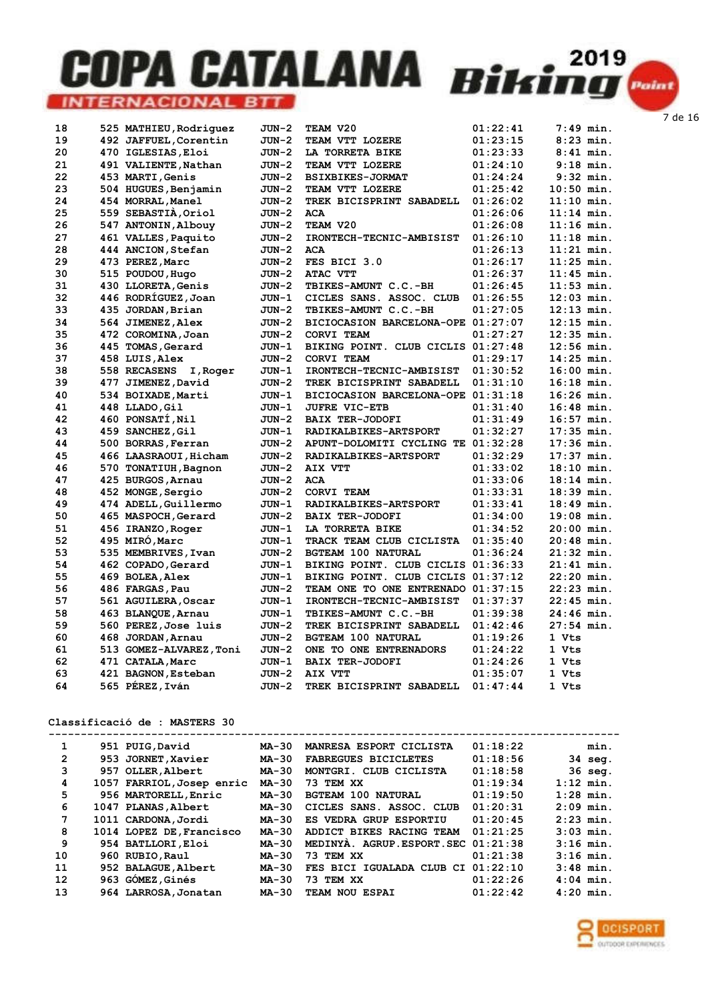| 18       | 525 MATHIEU, Rodriquez   | JUN-2   | TEAM V20                           | 01:22:41 | $7:49$ min.  |  |
|----------|--------------------------|---------|------------------------------------|----------|--------------|--|
| 19       | 492 JAFFUEL, Corentin    | JUN-2   | TEAM VTT LOZERE                    | 01:23:15 | $8:23$ min.  |  |
| 20       | 470 IGLESIAS, Eloi       | JUN-2   | LA TORRETA BIKE                    | 01:23:33 | $8:41$ min.  |  |
| 21       | 491 VALIENTE, Nathan     | $JUN-2$ | TEAM VTT LOZERE                    | 01:24:10 | $9:18$ min.  |  |
| 22       | 453 MARTI, Genis         | JUN-2   | <b>BSIXBIKES-JORMAT</b>            | 01:24:24 | $9:32$ min.  |  |
| 23       | 504 HUGUES, Benjamin     | JUN-2   | TEAM VTT LOZERE                    | 01:25:42 | $10:50$ min. |  |
| 24       | 454 MORRAL, Manel        | JUN-2   | TREK BICISPRINT SABADELL           | 01:26:02 | $11:10$ min. |  |
| 25       | 559 SEBASTIA, Oriol      | JUN-2   | <b>ACA</b>                         | 01:26:06 | $11:14$ min. |  |
| 26       | 547 ANTONIN, Albouy      | JUN-2   | TEAM V20                           | 01:26:08 | $11:16$ min. |  |
| 27       | 461 VALLES, Paquito      | $JUN-2$ | IRONTECH-TECNIC-AMBISIST           | 01:26:10 | $11:18$ min. |  |
| 28       | 444 ANCION, Stefan       | JUN-2   | ACA                                | 01:26:13 | $11:21$ min. |  |
| 29       | 473 PEREZ, Marc          | $JUN-2$ | FES BICI 3.0                       | 01:26:17 | $11:25$ min. |  |
| 30       | 515 POUDOU, Hugo         | JUN-2   | ATAC VTT                           | 01:26:37 | $11:45$ min. |  |
| 31       | 430 LLORETA, Genis       | JUN-2   | TBIKES-AMUNT C.C.-BH               | 01:26:45 | $11:53$ min. |  |
| 32       | 446 RODRIGUEZ, Joan      | JUN-1   | CICLES SANS. ASSOC. CLUB           | 01:26:55 | $12:03$ min. |  |
| 33       | 435 JORDAN, Brian        | $JUN-2$ | TBIKES-AMUNT C.C.-BH               | 01:27:05 | $12:13$ min. |  |
| 34       | 564 JIMENEZ, Alex        | JUN-2   | BICIOCASION BARCELONA-OPE 01:27:07 |          | $12:15$ min. |  |
| 35       | 472 COROMINA, Joan       | JUN-2   | <b>CORVI TEAM</b>                  | 01:27:27 | $12:35$ min. |  |
| 36       | 445 TOMAS, Gerard        | JUN-1   | BIKING POINT. CLUB CICLIS 01:27:48 |          | $12:56$ min. |  |
| 37       | 458 LUIS, Alex           | $JUN-2$ | <b>CORVI TEAM</b>                  | 01:29:17 | $14:25$ min. |  |
| 38       | 558 RECASENS<br>I, Roger | JUN-1   | IRONTECH-TECNIC-AMBISIST           | 01:30:52 | $16:00$ min. |  |
| 39       | 477 JIMENEZ, David       | JUN-2   | TREK BICISPRINT SABADELL           | 01:31:10 | 16:18 min.   |  |
| 40       | 534 BOIXADE, Marti       | JUN-1   | BICIOCASION BARCELONA-OPE 01:31:18 |          | $16:26$ min. |  |
| 41       | 448 LLADO, Gil           | $JUN-1$ | <b>JUFRE VIC-ETB</b>               | 01:31:40 | $16:48$ min. |  |
| 42       | 460 PONSATÍ, Nil         | $JUN-2$ | <b>BAIX TER-JODOFI</b>             | 01:31:49 | $16:57$ min. |  |
| 43       | 459 SANCHEZ, Gil         | $JUN-1$ | RADIKALBIKES-ARTSPORT              | 01:32:27 | $17:35$ min. |  |
| 44       | 500 BORRAS, Ferran       | JUN-2   | APUNT-DOLOMITI CYCLING TE 01:32:28 |          | $17:36$ min. |  |
| 45       | 466 LAASRAOUI, Hicham    | JUN-2   | RADIKALBIKES-ARTSPORT              | 01:32:29 | 17:37 min.   |  |
| 46       | 570 TONATIUH, Bagnon     | JUN-2   | AIX VTT                            | 01:33:02 | $18:10$ min. |  |
| 47       | 425 BURGOS, Arnau        | JUN-2   | <b>ACA</b>                         | 01:33:06 | $18:14$ min. |  |
| 48       | 452 MONGE, Sergio        | JUN-2   | CORVI TEAM                         | 01:33:31 | $18:39$ min. |  |
| 49       | 474 ADELL, Guillermo     | JUN-1   | RADIKALBIKES-ARTSPORT              | 01:33:41 | $18:49$ min. |  |
| 50       | 465 MASPOCH, Gerard      | JUN-2   | <b>BAIX TER-JODOFI</b>             | 01:34:00 | $19:08$ min. |  |
| 51       | 456 IRANZO, Roger        | JUN-1   | LA TORRETA BIKE                    | 01:34:52 | $20:00$ min. |  |
| 52       | 495 MIRÓ, Marc           | JUN-1   | TRACK TEAM CLUB CICLISTA           | 01:35:40 | 20:48 min.   |  |
| 53       | 535 MEMBRIVES, Ivan      | JUN-2   | <b>BGTEAM 100 NATURAL</b>          | 01:36:24 | $21:32$ min. |  |
| 54       | 462 COPADO, Gerard       | $JUN-1$ | BIKING POINT. CLUB CICLIS 01:36:33 |          | $21:41$ min. |  |
| 55       | 469 BOLEA, Alex          | JUN-1   | BIKING POINT. CLUB CICLIS 01:37:12 |          | 22:20 min.   |  |
| 56       | 486 FARGAS, Pau          | JUN-2   | TEAM ONE TO ONE ENTRENADO 01:37:15 |          | 22:23 min.   |  |
| 57       | 561 AGUILERA, Oscar      | JUN-1   | IRONTECH-TECNIC-AMBISIST           | 01:37:37 | 22:45 min.   |  |
| 58       | 463 BLANQUE, Arnau       | $JUN-1$ | TBIKES-AMUNT C.C.-BH               | 01:39:38 | $24:46$ min. |  |
| 59       | 560 PEREZ, Jose luis     | $JUN-2$ | TREK BICISPRINT SABADELL           | 01:42:46 | $27:54$ min. |  |
| 60       | 468 JORDAN, Arnau        | $JUN-2$ | <b>BGTEAM 100 NATURAL</b>          | 01:19:26 | 1 Vts        |  |
| 61<br>62 | 513 GOMEZ-ALVAREZ, Toni  | JUN-2   | ONE TO ONE ENTRENADORS             | 01:24:22 | 1 Vts        |  |
|          | 471 CATALA, Marc         | JUN-1   | <b>BAIX TER-JODOFI</b>             | 01:24:26 | 1 Vts        |  |
| 63       | 421 BAGNON, Esteban      | JUN-2   | AIX VTT                            | 01:35:07 | 1 Vts        |  |
| 64       | 565 PÉREZ, Iván          | JUN-2   | TREK BICISPRINT SABADELL           | 01:47:44 | 1 Vts        |  |

#### Classificació de : MASTERS 30

| 1              | 951 PUIG, David           | MA-30        | MANRESA ESPORT CICLISTA            | 01:18:22 | min.        |
|----------------|---------------------------|--------------|------------------------------------|----------|-------------|
| $\overline{2}$ | 953 JORNET, Xavier        | <b>MA-30</b> | <b>FABREGUES BICICLETES</b>        | 01:18:56 | $34$ seq.   |
| 3              | 957 OLLER, Albert         | <b>MA-30</b> | MONTGRI. CLUB CICLISTA             | 01:18:58 | 36 seg.     |
| 4              | 1057 FARRIOL, Josep enric | <b>MA-30</b> | 73 TEM XX                          | 01:19:34 | $1:12$ min. |
| 5              | 956 MARTORELL, Enric      | <b>MA-30</b> | <b>BGTEAM 100 NATURAL</b>          | 01:19:50 | $1:28$ min. |
| 6              | 1047 PLANAS, Albert       | <b>MA-30</b> | CICLES SANS, ASSOC, CLUB           | 01:20:31 | $2:09$ min. |
| 7              | 1011 CARDONA, Jordi       | <b>MA-30</b> | ES VEDRA GRUP ESPORTIU             | 01:20:45 | $2:23$ min. |
| 8              | 1014 LOPEZ DE, Francisco  | <b>MA-30</b> | ADDICT BIKES RACING TEAM           | 01:21:25 | $3:03$ min. |
| 9              | 954 BATLLORI, Eloi        | $MA-30$      | MEDINYA. AGRUP.ESPORT.SEC 01:21:38 |          | $3:16$ min. |
| 10             | 960 RUBIO, Raul           | <b>MA-30</b> | 73 TEM XX                          | 01:21:38 | $3:16$ min. |
| 11             | 952 BALAGUE, Albert       | <b>MA-30</b> | FES BICI IGUALADA CLUB CI          | 01:22:10 | $3:48$ min. |
| 12             | 963 GÓMEZ, Ginés          | $MA-30$      | 73 TEM XX                          | 01:22:26 | $4:04$ min. |
| 13             | 964 LARROSA, Jonatan      | <b>MA-30</b> | TEAM NOU ESPAI                     | 01:22:42 | $4:20$ min. |

**OCISPORT** OUTDOOR EXPERIENCES

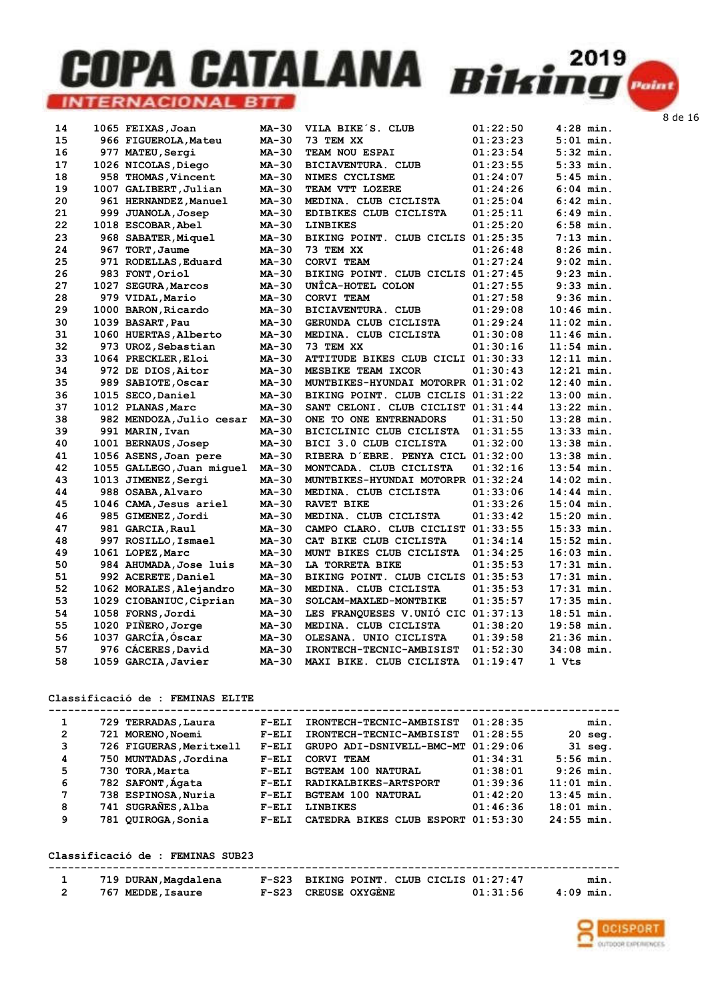| 14 | 1065 FEIXAS, Joan         | MA-30        | VILA BIKE'S. CLUB                  | 01:22:50 | $4:28$ min.  |
|----|---------------------------|--------------|------------------------------------|----------|--------------|
| 15 | 966 FIGUEROLA, Mateu      | MA-30        | 73 TEM XX                          | 01:23:23 | $5:01$ min.  |
| 16 | 977 MATEU, Sergi          | MA-30        | TEAM NOU ESPAI                     | 01:23:54 | $5:32$ min.  |
| 17 | 1026 NICOLAS, Diego       | <b>MA-30</b> | BICIAVENTURA. CLUB                 | 01:23:55 | $5:33$ min.  |
| 18 | 958 THOMAS, Vincent       | MA-30        | NIMES CYCLISME                     | 01:24:07 | $5:45$ min.  |
| 19 | 1007 GALIBERT, Julian     | MA-30        | TEAM VTT LOZERE                    | 01:24:26 | $6:04$ min.  |
| 20 | 961 HERNANDEZ, Manuel     | MA-30        | MEDINA. CLUB CICLISTA              | 01:25:04 | $6:42$ min.  |
| 21 | 999 JUANOLA, Josep        | MA-30        | EDIBIKES CLUB CICLISTA             | 01:25:11 | $6:49$ min.  |
| 22 | 1018 ESCOBAR, Abel        | MA-30        | <b>LINBIKES</b>                    | 01:25:20 | $6:58$ min.  |
| 23 | 968 SABATER, Miquel       | MA-30        | BIKING POINT. CLUB CICLIS 01:25:35 |          | $7:13$ min.  |
| 24 | 967 TORT, Jaume           | MA-30        | 73 TEM XX                          | 01:26:48 | $8:26$ min.  |
| 25 | 971 RODELLAS, Eduard      | MA-30        | <b>CORVI TEAM</b>                  | 01:27:24 | $9:02$ min.  |
| 26 | 983 FONT, Oriol           | MA-30        | BIKING POINT. CLUB CICLIS 01:27:45 |          | $9:23$ min.  |
| 27 | 1027 SEGURA, Marcos       | MA-30        | UNICA-HOTEL COLON                  | 01:27:55 | $9:33$ min.  |
| 28 | 979 VIDAL, Mario          | MA-30        | CORVI TEAM                         | 01:27:58 | $9:36$ min.  |
| 29 | 1000 BARON, Ricardo       | <b>MA-30</b> | BICIAVENTURA. CLUB                 | 01:29:08 | $10:46$ min. |
| 30 | 1039 BASART, Pau          | MA-30        | GERUNDA CLUB CICLISTA              | 01:29:24 | $11:02$ min. |
| 31 | 1060 HUERTAS, Alberto     | MA-30        | MEDINA. CLUB CICLISTA              | 01:30:08 | $11:46$ min. |
| 32 | 973 UROZ, Sebastian       | MA-30        | 73 TEM XX                          | 01:30:16 | $11:54$ min. |
| 33 | 1064 PRECKLER, Eloi       | MA-30        | ATTITUDE BIKES CLUB CICLI 01:30:33 |          | $12:11$ min. |
| 34 | 972 DE DIOS, Aitor        | MA-30        | MESBIKE TEAM IXCOR                 | 01:30:43 | $12:21$ min. |
| 35 | 989 SABIOTE, Oscar        | MA-30        | MUNTBIKES-HYUNDAI MOTORPR 01:31:02 |          | $12:40$ min. |
| 36 | 1015 SECO, Daniel         | MA-30        | BIKING POINT. CLUB CICLIS 01:31:22 |          | $13:00$ min. |
| 37 | 1012 PLANAS, Marc         | MA-30        | SANT CELONI. CLUB CICLIST 01:31:44 |          | $13:22$ min. |
| 38 | 982 MENDOZA, Julio cesar  | <b>MA-30</b> | ONE TO ONE ENTRENADORS             | 01:31:50 | $13:28$ min. |
| 39 | 991 MARIN, Ivan           | MA-30        | BICICLINIC CLUB CICLISTA           | 01:31:55 | $13:33$ min. |
| 40 | 1001 BERNAUS, Josep       | MA-30        | BICI 3.0 CLUB CICLISTA             | 01:32:00 | $13:38$ min. |
| 41 | 1056 ASENS, Joan pere     | <b>MA-30</b> | RIBERA D'EBRE. PENYA CICL 01:32:00 |          | $13:38$ min. |
| 42 | 1055 GALLEGO, Juan miquel | MA-30        | MONTCADA. CLUB CICLISTA            | 01:32:16 | $13:54$ min. |
| 43 | 1013 JIMENEZ, Sergi       | MA-30        | MUNTBIKES-HYUNDAI MOTORPR 01:32:24 |          | $14:02$ min. |
| 44 | 988 OSABA, Alvaro         | MA-30        | MEDINA. CLUB CICLISTA              | 01:33:06 | $14:44$ min. |
| 45 | 1046 CAMA, Jesus ariel    | MA-30        | <b>RAVET BIKE</b>                  | 01:33:26 | $15:04$ min. |
| 46 | 985 GIMENEZ, Jordi        | MA-30        | MEDINA. CLUB CICLISTA              | 01:33:42 | $15:20$ min. |
| 47 | 981 GARCIA, Raul          | MA-30        | CAMPO CLARO. CLUB CICLIST 01:33:55 |          | $15:33$ min. |
| 48 | 997 ROSILLO, Ismael       | MA-30        | CAT BIKE CLUB CICLISTA             | 01:34:14 | $15:52$ min. |
| 49 | 1061 LOPEZ, Marc          | <b>MA-30</b> | MUNT BIKES CLUB CICLISTA           | 01:34:25 | $16:03$ min. |
| 50 | 984 AHUMADA, Jose luis    | MA-30        | LA TORRETA BIKE                    | 01:35:53 | $17:31$ min. |
| 51 | 992 ACERETE, Daniel       | MA-30        | BIKING POINT. CLUB CICLIS 01:35:53 |          | $17:31$ min. |
| 52 | 1062 MORALES, Alejandro   | <b>MA-30</b> | MEDINA. CLUB CICLISTA              | 01:35:53 | 17:31 min.   |
| 53 | 1029 CIOBANIUC, Ciprian   | MA-30        | SOLCAM-MAXLED-MONTBIKE             | 01:35:57 | $17:35$ min. |
| 54 | 1058 FORNS, Jordi         | MA-30        | LES FRANQUESES V.UNIO CIC 01:37:13 |          | $18:51$ min. |
| 55 | 1020 PIÑERO, Jorge        | $MA-30$      | MEDINA. CLUB CICLISTA              | 01:38:20 | $19:58$ min. |
| 56 | 1037 GARCÍA, Óscar        | MA-30        | OLESANA. UNIO CICLISTA             | 01:39:58 | $21:36$ min. |
| 57 | 976 CACERES, David        | MA-30        | IRONTECH-TECNIC-AMBISIST           | 01:52:30 | 34:08 min.   |
| 58 | 1059 GARCIA, Javier       | MA-30        | MAXI BIKE. CLUB CICLISTA           | 01:19:47 | 1 Vts        |

#### Classificació de : FEMINAS ELITE

| 729 TERRADAS, Laura     | $F-ELI$ | IRONTECH-TECNIC-AMBISIST  | 01:28:35 | min.                                                   |
|-------------------------|---------|---------------------------|----------|--------------------------------------------------------|
| 721 MORENO, Noemi       | $F-ELI$ | IRONTECH-TECNIC-AMBISIST  | 01:28:55 | $20$ seq.                                              |
| 726 FIGUERAS, Meritxell | $F-ELI$ |                           | 01:29:06 | $31$ seq.                                              |
| 750 MUNTADAS, Jordina   | $F-ELI$ | CORVI TEAM                | 01:34:31 | $5:56$ min.                                            |
| 730 TORA, Marta         | $F-ELI$ | <b>BGTEAM 100 NATURAL</b> | 01:38:01 | $9:26$ min.                                            |
| 782 SAFONT, Ágata       | $F-ELI$ | RADIKALBIKES-ARTSPORT     | 01:39:36 | $11:01$ min.                                           |
| 738 ESPINOSA, Nuria     | $F-ELI$ | <b>BGTEAM 100 NATURAL</b> | 01:42:20 | $13:45$ min.                                           |
| 741 SUGRAÑES, Alba      | $F-ELI$ | <b>LINBIKES</b>           | 01:46:36 | $18:01$ min.                                           |
| 781 QUIROGA, Sonia      | $F-ELI$ |                           | 01:53:30 | $24:55$ min.                                           |
|                         |         |                           |          | GRUPO ADI-DSNIVELL-BMC-MT<br>CATEDRA BIKES CLUB ESPORT |

#### Classificació de : FEMINAS SUB23

| 719 DURAN, Magdalena | F-S23 BIKING POINT. CLUB CICLIS 01:27:47 | min.     |
|----------------------|------------------------------------------|----------|
| 767 MEDDE, Isaure    | F-S23 CREUSE OXYGENE<br>01:31:56         | 4:09 min |

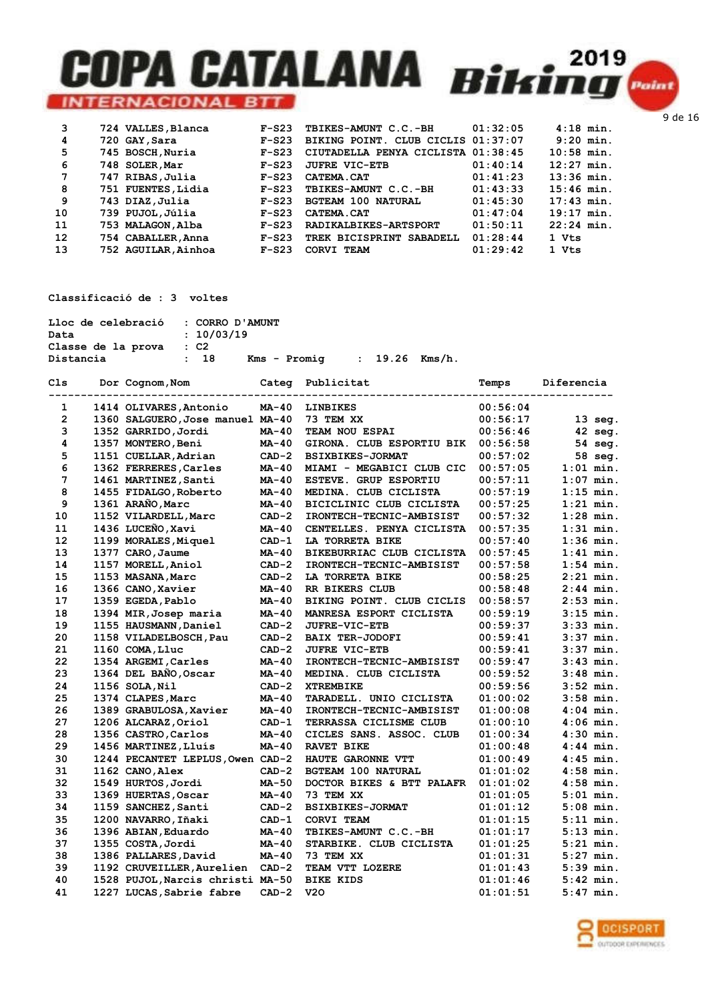| 3  | 724 VALLES, Blanca  | $F-S23$ | TBIKES-AMUNT C.C.-BH               | 01:32:05 | $4:18$ min.  |
|----|---------------------|---------|------------------------------------|----------|--------------|
| 4  | 720 GAY, Sara       | $F-S23$ | BIKING POINT. CLUB CICLIS 01:37:07 |          | $9:20$ min.  |
| 5  | 745 BOSCH, Nuria    | $F-S23$ | CIUTADELLA PENYA CICLISTA 01:38:45 |          | $10:58$ min. |
| 6  | 748 SOLER, Mar      | $F-S23$ | <b>JUFRE VIC-ETB</b>               | 01:40:14 | $12:27$ min. |
| 7  | 747 RIBAS, Julia    | $F-S23$ | CATEMA.CAT                         | 01:41:23 | $13:36$ min. |
| 8  | 751 FUENTES, Lidia  | $F-S23$ | TBIKES-AMUNT C.C.-BH               | 01:43:33 | $15:46$ min. |
| 9  | 743 DIAZ, Julia     | $F-S23$ | <b>BGTEAM 100 NATURAL</b>          | 01:45:30 | $17:43$ min. |
| 10 | 739 PUJOL, Júlia    | $F-S23$ | CATEMA.CAT                         | 01:47:04 | $19:17$ min. |
| 11 | 753 MALAGON, Alba   | $F-S23$ | RADIKALBIKES-ARTSPORT              | 01:50:11 | $22:24$ min. |
| 12 | 754 CABALLER, Anna  | $F-S23$ | TREK BICISPRINT SABADELL           | 01:28:44 | 1 Vts        |
| 13 | 752 AGUILAR, Ainhoa | $F-S23$ | CORVI TEAM                         | 01:29:42 | 1 Vts        |

Classificació de : 3 voltes

| Lloc de celebració : CORRO D'AMUNT |            |  |                                  |  |  |
|------------------------------------|------------|--|----------------------------------|--|--|
| Data                               | : 10/03/19 |  |                                  |  |  |
| Classe de la prova                 | $\cdot$ C2 |  |                                  |  |  |
| Distancia                          | : 18       |  | $Kms - Promia$ : 19.26 $Kms/h$ . |  |  |

| C1s               | Dor Cognom, Nom<br>------------------ | Categ        | Publicitat                | Temps    | Diferencia  |
|-------------------|---------------------------------------|--------------|---------------------------|----------|-------------|
| 1                 | 1414 OLIVARES, Antonio                | $MA-40$      | <b>LINBIKES</b>           | 00:56:04 |             |
| $\overline{2}$    | 1360 SALGUERO, Jose manuel MA-40      |              | 73 TEM XX                 | 00:56:17 | $13$ seg.   |
| 3                 | 1352 GARRIDO, Jordi                   | <b>MA-40</b> | TEAM NOU ESPAI            | 00:56:46 | $42$ seq.   |
| 4                 | 1357 MONTERO, Beni                    | MA-40        | GIRONA. CLUB ESPORTIU BIK | 00:56:58 | 54 seg.     |
| 5                 | 1151 CUELLAR, Adrian                  | $CAD-2$      | <b>BSIXBIKES-JORMAT</b>   | 00:57:02 | 58 seg.     |
| 6                 | 1362 FERRERES, Carles                 | MA-40        | MIAMI - MEGABICI CLUB CIC | 00:57:05 | 1:01 min.   |
| $\overline{7}$    | 1461 MARTINEZ, Santi                  | <b>MA-40</b> | ESTEVE. GRUP ESPORTIU     | 00:57:11 | $1:07$ min. |
| 8                 | 1455 FIDALGO, Roberto                 | $MA-40$      | MEDINA. CLUB CICLISTA     | 00:57:19 | $1:15$ min. |
| 9                 | 1361 ARAÑO, Marc                      | $MA-40$      | BICICLINIC CLUB CICLISTA  | 00:57:25 | $1:21$ min. |
| 10                | 1152 VILARDELL, Marc                  | $CAD-2$      | IRONTECH-TECNIC-AMBISIST  | 00:57:32 | $1:28$ min. |
| 11                | 1436 LUCEÑO, Xavi                     | $MA-40$      | CENTELLES. PENYA CICLISTA | 00:57:35 | $1:31$ min. |
| $12 \overline{ }$ | 1199 MORALES, Miquel                  | $CAD-1$      | LA TORRETA BIKE           | 00:57:40 | $1:36$ min. |
| 13                | 1377 CARO, Jaume                      | <b>MA-40</b> | BIKEBURRIAC CLUB CICLISTA | 00:57:45 | $1:41$ min. |
| 14                | 1157 MORELL, Aniol                    | $CAD-2$      | IRONTECH-TECNIC-AMBISIST  | 00:57:58 | $1:54$ min. |
| 15                | 1153 MASANA, Marc                     | $CAD-2$      | LA TORRETA BIKE           | 00:58:25 | $2:21$ min. |
| 16                | 1366 CANO, Xavier                     | $MA-40$      | RR BIKERS CLUB            | 00:58:48 | $2:44$ min. |
| 17                | 1359 EGEDA, Pablo                     | $MA-40$      | BIKING POINT. CLUB CICLIS | 00:58:57 | $2:53$ min. |
| 18                | 1394 MIR, Josep maria                 | <b>MA-40</b> | MANRESA ESPORT CICLISTA   | 00:59:19 | $3:15$ min. |
| 19                | 1155 HAUSMANN, Daniel                 | $CAD-2$      | JUFRE-VIC-ETB             | 00:59:37 | $3:33$ min. |
| 20                | 1158 VILADELBOSCH, Pau                | $CAD-2$      | <b>BAIX TER-JODOFI</b>    | 00:59:41 | $3:37$ min. |
| 21                | 1160 COMA, Lluc                       | $CAD-2$      | <b>JUFRE VIC-ETB</b>      | 00:59:41 | $3:37$ min. |
| 22                | 1354 ARGEMI, Carles                   | <b>MA-40</b> | IRONTECH-TECNIC-AMBISIST  | 00:59:47 | $3:43$ min. |
| 23                | 1364 DEL BAÑO, Oscar                  | $MA-40$      | MEDINA. CLUB CICLISTA     | 00:59:52 | $3:48$ min. |
| 24                | 1156 SOLA, Nil                        | $CAD-2$      | <b>XTREMBIKE</b>          | 00:59:56 | $3:52$ min. |
| 25                | 1374 CLAPES, Marc                     | MA-40        | TARADELL, UNIO CICLISTA   | 01:00:02 | $3:58$ min. |
| 26                | 1389 GRABULOSA, Xavier                | <b>MA-40</b> | IRONTECH-TECNIC-AMBISIST  | 01:00:08 | $4:04$ min. |
| 27                | 1206 ALCARAZ, Oriol                   | $CAD-1$      | TERRASSA CICLISME CLUB    | 01:00:10 | $4:06$ min. |
| 28                | 1356 CASTRO, Carlos                   | $MA-40$      | CICLES SANS. ASSOC. CLUB  | 01:00:34 | $4:30$ min. |
| 29                | 1456 MARTINEZ, Lluís                  | <b>MA-40</b> | <b>RAVET BIKE</b>         | 01:00:48 | $4:44$ min. |
| 30                | 1244 PECANTET LEPLUS, Owen CAD-2      |              | HAUTE GARONNE VTT         | 01:00:49 | $4:45$ min. |
| 31                | 1162 CANO, Alex                       | $CAD-2$      | <b>BGTEAM 100 NATURAL</b> | 01:01:02 | $4:58$ min. |
| 32                | 1549 HURTOS, Jordi                    | <b>MA-50</b> | DOCTOR BIKES & BTT PALAFR | 01:01:02 | $4:58$ min. |
| 33                | 1369 HUERTAS, Oscar                   | MA-40        | 73 TEM XX                 | 01:01:05 | $5:01$ min. |
| 34                | 1159 SANCHEZ, Santi                   | $CAD-2$      | <b>BSIXBIKES-JORMAT</b>   | 01:01:12 | $5:08$ min. |
| 35                | 1200 NAVARRO, Iñaki                   | $CAD-1$      | CORVI TEAM                | 01:01:15 | $5:11$ min. |
| 36                | 1396 ABIAN, Eduardo                   | MA-40        | TBIKES-AMUNT C.C.-BH      | 01:01:17 | $5:13$ min. |
| 37                | 1355 COSTA, Jordi                     | <b>MA-40</b> | STARBIKE. CLUB CICLISTA   | 01:01:25 | $5:21$ min. |
| 38                | 1386 PALLARES, David                  | MA-40        | 73 TEM XX                 | 01:01:31 | $5:27$ min. |
| 39                | 1192 CRUVEILLER, Aurelien             | $CAD-2$      | TEAM VTT LOZERE           | 01:01:43 | $5:39$ min. |
| 40                | 1528 PUJOL, Narcis christi MA-50      |              | <b>BIKE KIDS</b>          | 01:01:46 | $5:42$ min. |
| 41                | 1227 LUCAS, Sabrie fabre              | $CAD-2$      | <b>V20</b>                | 01:01:51 | $5:47$ min. |

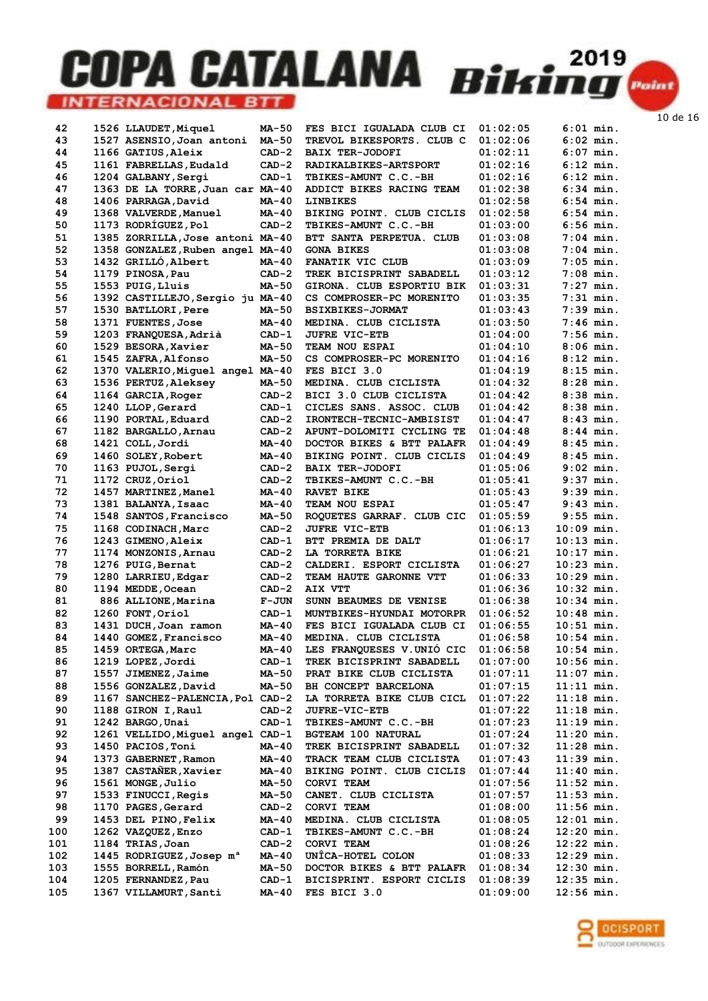| 42  | 1526 LLAUDET, Miquel                 | MA-50        | FES BICI IGUALADA CLUB CI        | 01:02:05 | $6:01$ min.  |
|-----|--------------------------------------|--------------|----------------------------------|----------|--------------|
| 43  | 1527 ASENSIO, Joan antoni            | <b>MA-50</b> | <b>TREVOL BIKESPORTS. CLUB C</b> | 01:02:06 | $6:02$ min.  |
| 44  | 1166 GATIUS, Aleix                   | $CAD-2$      | <b>BAIX TER-JODOFI</b>           | 01:02:11 | $6:07$ min.  |
| 45  | 1161 FABRELLAS, Eudald               | $CAD-2$      | RADIKALBIKES-ARTSPORT            | 01:02:16 | $6:12$ min.  |
|     |                                      |              |                                  |          |              |
| 46  | 1204 GALBANY, Sergi                  | $CAD-1$      | TBIKES-AMUNT C.C.-BH             | 01:02:16 | $6:12$ min.  |
| 47  | 1363 DE LA TORRE, Juan car MA-40     |              | ADDICT BIKES RACING TEAM         | 01:02:38 | $6:34$ min.  |
| 48  | 1406 PARRAGA, David                  | $MA-40$      | <b>LINBIKES</b>                  | 01:02:58 | $6:54$ min.  |
| 49  | 1368 VALVERDE, Manuel                | MA-40        | BIKING POINT. CLUB CICLIS        | 01:02:58 | $6:54$ min.  |
| 50  | 1173 RODRÍGUEZ, Pol                  | $CAD-2$      | TBIKES-AMUNT C.C.-BH             | 01:03:00 | $6:56$ min.  |
| 51  | 1385 ZORRILLA, Jose antoni MA-40     |              | BTT SANTA PERPETUA. CLUB         | 01:03:08 | $7:04$ min.  |
| 52  | 1358 GONZALEZ, Ruben angel MA-40     |              | <b>GONA BIKES</b>                | 01:03:08 | $7:04$ min.  |
| 53  | 1432 GRILLÓ, Albert                  | <b>MA-40</b> | FANATIK VIC CLUB                 | 01:03:09 | $7:05$ min.  |
| 54  | 1179 PINOSA, Pau                     | $CAD-2$      | TREK BICISPRINT SABADELL         | 01:03:12 | $7:08$ min.  |
|     |                                      |              |                                  |          |              |
| 55  | 1553 PUIG, Lluis                     | MA-50        | GIRONA. CLUB ESPORTIU BIK        | 01:03:31 | $7:27$ min.  |
| 56  | 1392 CASTILLEJO, Sergio ju MA-40     |              | CS COMPROSER-PC MORENITO         | 01:03:35 | $7:31$ min.  |
| 57  | 1530 BATLLORI, Pere                  | MA-50        | <b>BSIXBIKES-JORMAT</b>          | 01:03:43 | $7:39$ min.  |
| 58  | 1371 FUENTES, Jose                   | MA-40        | MEDINA. CLUB CICLISTA            | 01:03:50 | $7:46$ min.  |
| 59  | 1203 FRANQUESA, Adrià                | $CAD-1$      | <b>JUFRE VIC-ETB</b>             | 01:04:00 | $7:56$ min.  |
| 60  | 1529 BESORA, Xavier                  | MA-50        | TEAM NOU ESPAI                   | 01:04:10 | $8:06$ min.  |
| 61  | 1545 ZAFRA, Alfonso                  | MA-50        | CS COMPROSER-PC MORENITO         | 01:04:16 | $8:12$ min.  |
| 62  | 1370 VALERIO, Miquel angel MA-40     |              | FES BICI 3.0                     | 01:04:19 | $8:15$ min.  |
|     |                                      |              |                                  |          | $8:28$ min.  |
| 63  | 1536 PERTUZ, Aleksey                 | MA-50        | MEDINA. CLUB CICLISTA            | 01:04:32 |              |
| 64  | 1164 GARCIA, Roger                   | $CAD-2$      | BICI 3.0 CLUB CICLISTA           | 01:04:42 | $8:38$ min.  |
| 65  | 1240 LLOP, Gerard                    | $CAD-1$      | CICLES SANS. ASSOC. CLUB         | 01:04:42 | $8:38$ min.  |
| 66  | 1190 PORTAL, Eduard                  | $CAD-2$      | <b>IRONTECH-TECNIC-AMBISIST</b>  | 01:04:47 | $8:43$ min.  |
| 67  | 1182 BARGALLO, Arnau                 | $CAD-2$      | APUNT-DOLOMITI CYCLING TE        | 01:04:48 | $8:44$ min.  |
| 68  | 1421 COLL, Jordi                     | $MA-40$      | DOCTOR BIKES & BTT PALAFR        | 01:04:49 | $8:45$ min.  |
| 69  | 1460 SOLEY, Robert                   | $MA-40$      | BIKING POINT. CLUB CICLIS        | 01:04:49 | $8:45$ min.  |
| 70  | 1163 PUJOL, Sergi                    | $CAD-2$      | <b>BAIX TER-JODOFI</b>           | 01:05:06 | $9:02$ min.  |
| 71  | 1172 CRUZ, Oriol                     | $CAD-2$      | TBIKES-AMUNT C.C.-BH             | 01:05:41 | $9:37$ min.  |
|     |                                      |              |                                  |          |              |
| 72  | 1457 MARTINEZ, Manel                 | MA-40        | <b>RAVET BIKE</b>                | 01:05:43 | $9:39$ min.  |
| 73  | 1381 BALANYA, Isaac                  | MA-40        | TEAM NOU ESPAI                   | 01:05:47 | $9:43$ min.  |
| 74  | 1548 SANTOS, Francisco               | MA-50        | ROQUETES GARRAF. CLUB CIC        | 01:05:59 | $9:55$ min.  |
| 75  | 1168 CODINACH, Marc                  | $CAD-2$      | <b>JUFRE VIC-ETB</b>             | 01:06:13 | $10:09$ min. |
| 76  | 1243 GIMENO, Aleix                   | $CAD-1$      | BTT PREMIA DE DALT               | 01:06:17 | $10:13$ min. |
| 77  | 1174 MONZONIS, Arnau                 | $CAD-2$      | LA TORRETA BIKE                  | 01:06:21 | $10:17$ min. |
| 78  | 1276 PUIG, Bernat                    | $CAD-2$      | CALDERI. ESPORT CICLISTA         | 01:06:27 | $10:23$ min. |
| 79  | 1280 LARRIEU, Edgar                  | $CAD-2$      | TEAM HAUTE GARONNE VTT           | 01:06:33 | $10:29$ min. |
| 80  | 1194 MEDDE, Ocean                    | $CAD-2$      | AIX VTT                          | 01:06:36 |              |
| 81  |                                      |              |                                  |          |              |
|     |                                      |              |                                  |          | $10:32$ min. |
| 82  | 886 ALLIONE, Marina                  | <b>F-JUN</b> | SUNN BEAUMES DE VENISE           | 01:06:38 | $10:34$ min. |
|     | 1260 FONT, Oriol                     | $CAD-1$      | MUNTBIKES-HYUNDAI MOTORPR        | 01:06:52 | $10:48$ min. |
| 83  | 1431 DUCH, Joan ramon                | $MA-40$      | FES BICI IGUALADA CLUB CI        | 01:06:55 | $10:51$ min. |
| 84  | 1440 GOMEZ, Francisco                | MA-40        | MEDINA. CLUB CICLISTA            | 01:06:58 | $10:54$ min. |
| 85  | 1459 ORTEGA, Marc                    | MA-40        | LES FRANQUESES V.UNIO CIC        | 01:06:58 | $10:54$ min. |
| 86  | 1219 LOPEZ, Jordi                    | $CAD-1$      | <b>TREK BICISPRINT SABADELL</b>  | 01:07:00 | $10:56$ min. |
|     |                                      |              |                                  |          |              |
| 87  | 1557 JIMENEZ, Jaime                  | MA-50        | PRAT BIKE CLUB CICLISTA          | 01:07:11 | $11:07$ min. |
| 88  | 1556 GONZALEZ, David                 | <b>MA-50</b> | BH CONCEPT BARCELONA             | 01:07:15 | 11:11 min.   |
| 89  | 1167 SANCHEZ-PALENCIA, Pol CAD-2     |              | LA TORRETA BIKE CLUB CICL        | 01:07:22 | 11:18 min.   |
| 90  | 1188 GIRON I, Raul                   | $CAD-2$      | <b>JUFRE-VIC-ETB</b>             | 01:07:22 | $11:18$ min. |
| 91  | 1242 BARGO, Unai                     | $CAD-1$      | TBIKES-AMUNT C.C.-BH             | 01:07:23 | $11:19$ min. |
| 92  | 1261 VELLIDO, Miquel angel CAD-1     |              | <b>BGTEAM 100 NATURAL</b>        | 01:07:24 | $11:20$ min. |
| 93  | 1450 PACIOS, Toni                    | MA-40        | TREK BICISPRINT SABADELL         | 01:07:32 | 11:28 min.   |
| 94  | 1373 GABERNET, Ramon                 | MA-40        | TRACK TEAM CLUB CICLISTA         | 01:07:43 | 11:39 min.   |
| 95  | 1387 CASTANER, Xavier                | MA-40        | BIKING POINT. CLUB CICLIS        | 01:07:44 | 11:40 min.   |
| 96  | 1561 MONGE, Julio                    | MA-50        | CORVI TEAM                       |          | 11:52 min.   |
|     |                                      |              |                                  | 01:07:56 |              |
| 97  | 1533 FINUCCI, Regis                  | MA-50        | CANET. CLUB CICLISTA             | 01:07:57 | $11:53$ min. |
| 98  | 1170 PAGES, Gerard                   | $CAD-2$      | CORVI TEAM                       | 01:08:00 | $11:56$ min. |
| 99  | 1453 DEL PINO, Felix                 | MA-40        | MEDINA. CLUB CICLISTA            | 01:08:05 | 12:01 min.   |
| 100 | 1262 VAZQUEZ, Enzo                   | $CAD-1$      | TBIKES-AMUNT C.C.-BH             | 01:08:24 | 12:20 min.   |
| 101 | 1184 TRIAS, Joan                     | $CAD-2$      | CORVI TEAM                       | 01:08:26 | 12:22 min.   |
| 102 | 1445 RODRIGUEZ, Josep m <sup>a</sup> | MA-40        | UNÎCA-HOTEL COLON                | 01:08:33 | $12:29$ min. |
| 103 | 1555 BORRELL, Ramón                  | MA-50        | DOCTOR BIKES & BTT PALAFR        | 01:08:34 | $12:30$ min. |
| 104 | 1205 FERNANDEZ, Pau                  | $CAD-1$      | BICISPRINT. ESPORT CICLIS        | 01:08:39 | $12:35$ min. |

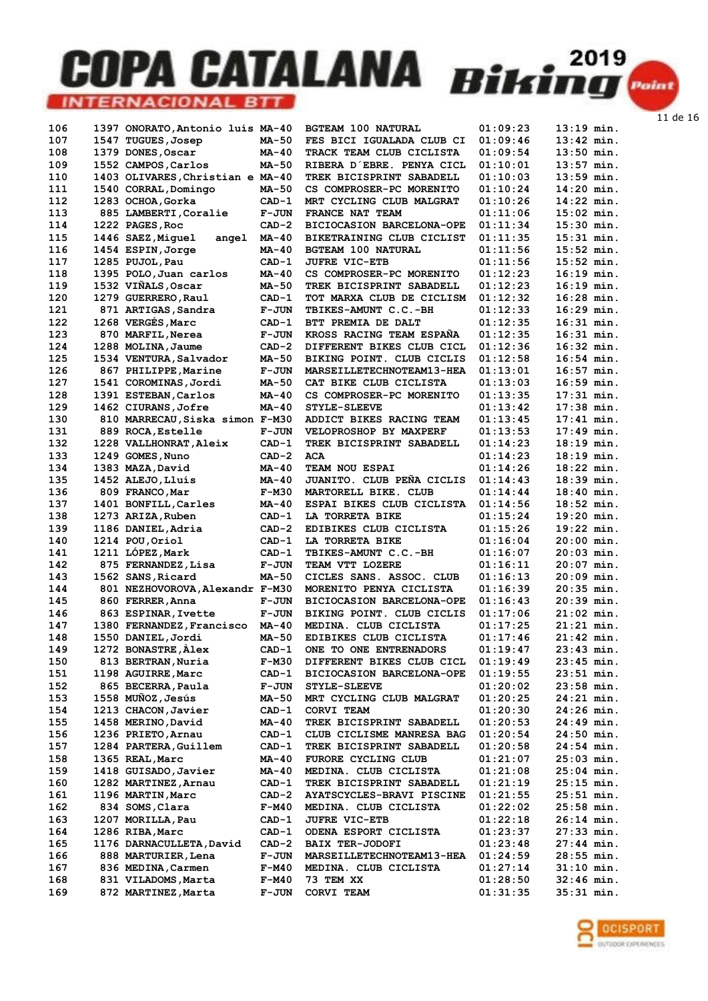| 106 | 1397 ONORATO,Antonio luís MA-40  |              | <b>BGTEAM 100 NATURAL</b>       | 01:09:23 | $13:19$ min. |
|-----|----------------------------------|--------------|---------------------------------|----------|--------------|
| 107 | 1547 TUGUES, Josep               | MA-50        | FES BICI IGUALADA CLUB CI       | 01:09:46 | $13:42$ min. |
| 108 | 1379 DONES, Oscar                | MA-40        | TRACK TEAM CLUB CICLISTA        | 01:09:54 | $13:50$ min. |
| 109 | 1552 CAMPOS, Carlos              | MA-50        | RIBERA D'EBRE. PENYA CICL       | 01:10:01 | $13:57$ min. |
| 110 | 1403 OLIVARES, Christian e MA-40 |              | TREK BICISPRINT SABADELL        | 01:10:03 | $13:59$ min. |
| 111 | 1540 CORRAL, Domingo             | <b>MA-50</b> | CS COMPROSER-PC MORENITO        | 01:10:24 | $14:20$ min. |
| 112 | 1283 OCHOA, Gorka                | $CAD-1$      | MRT CYCLING CLUB MALGRAT        | 01:10:26 | $14:22$ min. |
| 113 | 885 LAMBERTI, Coralie            | $F-JUN$      | FRANCE NAT TEAM                 | 01:11:06 | $15:02$ min. |
| 114 |                                  | $CAD-2$      | BICIOCASION BARCELONA-OPE       | 01:11:34 | $15:30$ min. |
|     | 1222 PAGES, Roc                  |              |                                 |          |              |
| 115 | 1446 SAEZ, Miquel<br>angel       | MA-40        | BIKETRAINING CLUB CICLIST       | 01:11:35 | $15:31$ min. |
| 116 | 1454 ESPIN, Jorge                | $MA-40$      | <b>BGTEAM 100 NATURAL</b>       | 01:11:56 | $15:52$ min. |
| 117 | 1285 PUJOL, Pau                  | $CAD-1$      | <b>JUFRE VIC-ETB</b>            | 01:11:56 | $15:52$ min. |
| 118 | 1395 POLO, Juan carlos           | MA-40        | CS COMPROSER-PC MORENITO        | 01:12:23 | $16:19$ min. |
| 119 | 1532 VIÑALS, Oscar               | MA-50        | <b>TREK BICISPRINT SABADELL</b> | 01:12:23 | $16:19$ min. |
| 120 | 1279 GUERRERO, Raul              | $CAD-1$      | TOT MARXA CLUB DE CICLISM       | 01:12:32 | $16:28$ min. |
| 121 | 871 ARTIGAS, Sandra              | <b>F-JUN</b> | TBIKES-AMUNT C.C.-BH            | 01:12:33 | $16:29$ min. |
| 122 | 1268 VERGÉS, Marc                | $CAD-1$      | BTT PREMIA DE DALT              | 01:12:35 | $16:31$ min. |
| 123 | 870 MARFIL, Nerea                | $F-JUN$      | KROSS RACING TEAM ESPANA        | 01:12:35 | $16:31$ min. |
| 124 | 1288 MOLINA, Jaume               | $CAD-2$      | DIFFERENT BIKES CLUB CICL       | 01:12:36 | $16:32$ min. |
| 125 | 1534 VENTURA, Salvador           | MA-50        | BIKING POINT. CLUB CICLIS       | 01:12:58 | $16:54$ min. |
| 126 | 867 PHILIPPE, Marine             | <b>F-JUN</b> | MARSEILLETECHNOTEAM13-HEA       | 01:13:01 | $16:57$ min. |
| 127 | 1541 COROMINAS, Jordi            | MA-50        | CAT BIKE CLUB CICLISTA          | 01:13:03 | $16:59$ min. |
| 128 | 1391 ESTEBAN, Carlos             | MA-40        | CS COMPROSER-PC MORENITO        | 01:13:35 | $17:31$ min. |
| 129 | 1462 CIURANS, Jofre              | $MA-40$      | <b>STYLE-SLEEVE</b>             | 01:13:42 | $17:38$ min. |
| 130 | 810 MARRECAU, Siska simon F-M30  |              | ADDICT BIKES RACING TEAM        | 01:13:45 | $17:41$ min. |
| 131 | 889 ROCA, Estelle                | $F-JUN$      | VELOPROSHOP BY MAXPERF          | 01:13:53 | $17:49$ min. |
| 132 | 1228 VALLHONRAT, Aleix           | $CAD-1$      | TREK BICISPRINT SABADELL        | 01:14:23 | $18:19$ min. |
| 133 | 1249 GOMES, Nuno                 | $CAD-2$      | <b>ACA</b>                      | 01:14:23 | $18:19$ min. |
| 134 |                                  | MA-40        | TEAM NOU ESPAI                  | 01:14:26 | $18:22$ min. |
|     | 1383 MAZA, David                 |              |                                 |          |              |
| 135 | 1452 ALEJO, Lluís                | MA-40        | JUANITO. CLUB PEÑA CICLIS       | 01:14:43 | $18:39$ min. |
| 136 | 809 FRANCO, Mar                  | $F-M30$      | MARTORELL BIKE. CLUB            | 01:14:44 | $18:40$ min. |
| 137 | 1401 BONFILL, Carles             | MA-40        | ESPAI BIKES CLUB CICLISTA       | 01:14:56 | $18:52$ min. |
| 138 | 1273 ARIZA, Ruben                | $CAD-1$      | LA TORRETA BIKE                 | 01:15:24 | $19:20$ min. |
| 139 | 1186 DANIEL, Adria               | $CAD-2$      | EDIBIKES CLUB CICLISTA          | 01:15:26 | $19:22$ min. |
| 140 | 1214 POU, Oriol                  | $CAD-1$      | LA TORRETA BIKE                 | 01:16:04 | $20:00$ min. |
| 141 | 1211 LÓPEZ, Mark                 | $CAD-1$      | TBIKES-AMUNT C.C.-BH            | 01:16:07 | $20:03$ min. |
| 142 | 875 FERNANDEZ, Lisa              | $F-JUN$      | TEAM VTT LOZERE                 | 01:16:11 | $20:07$ min. |
| 143 | 1562 SANS, Ricard                | <b>MA-50</b> | CICLES SANS. ASSOC. CLUB        | 01:16:13 | $20:09$ min. |
| 144 | 801 NEZHOVOROVA, Alexandr F-M30  |              | MORENITO PENYA CICLISTA         | 01:16:39 | $20:35$ min. |
| 145 | 860 FERRER, Anna                 | $F-JUN$      | BICIOCASION BARCELONA-OPE       | 01:16:43 | $20:39$ min. |
| 146 | 863 ESPINAR, Ivette              | $F-JUN$      | BIKING POINT, CLUB CICLIS       | 01:17:06 | $21:02$ min. |
| 147 | 1380 FERNANDEZ, Francisco        | MA-40        | MEDINA. CLUB CICLISTA           | 01:17:25 | $21:21$ min. |
| 148 | 1550 DANIEL, Jordi               | <b>MA-50</b> | EDIBIKES CLUB CICLISTA          | 01:17:46 | $21:42$ min. |
| 149 | 1272 BONASTRE, Alex              | $CAD-1$      | ONE TO ONE ENTRENADORS          | 01:19:47 | $23:43$ min. |
| 150 | 813 BERTRAN, Nuria               | F-M30        | DIFFERENT BIKES CLUB CICL       | 01:19:49 | $23:45$ min. |
| 151 | 1198 AGUIRRE, Marc               | $CAD-1$      | BICIOCASION BARCELONA-OPE       | 01:19:55 | $23:51$ min. |
| 152 | 865 BECERRA, Paula               | <b>F-JUN</b> | <b>STYLE-SLEEVE</b>             | 01:20:02 | $23:58$ min. |
| 153 | 1558 MUÑOZ, Jesús                | MA-50        | MRT CYCLING CLUB MALGRAT        | 01:20:25 | $24:21$ min. |
| 154 | 1213 CHACON, Javier              | $CAD-1$      | CORVI TEAM                      | 01:20:30 | $24:26$ min. |
| 155 | 1458 MERINO, David               | MA-40        | TREK BICISPRINT SABADELL        | 01:20:53 | $24:49$ min. |
| 156 | 1236 PRIETO, Arnau               | $CAD-1$      | CLUB CICLISME MANRESA BAG       | 01:20:54 | $24:50$ min. |
| 157 | 1284 PARTERA, Guillem            | CAD-1        | TREK BICISPRINT SABADELL        | 01:20:58 | $24:54$ min. |
| 158 | 1365 REAL, Marc                  | MA-40        | FURORE CYCLING CLUB             | 01:21:07 | $25:03$ min. |
|     | 1418 GUISADO, Javier             |              |                                 |          |              |
| 159 |                                  | MA-40        | MEDINA. CLUB CICLISTA           | 01:21:08 | $25:04$ min. |
| 160 | 1282 MARTINEZ, Arnau             | $CAD-1$      | TREK BICISPRINT SABADELL        | 01:21:19 | $25:15$ min. |
| 161 | 1196 MARTIN, Marc                | $CAD-2$      | AYATSCYCLES-BRAVI PISCINE       | 01:21:55 | $25:51$ min. |
| 162 | 834 SOMS, Clara                  | F-M40        | MEDINA. CLUB CICLISTA           | 01:22:02 | $25:58$ min. |
| 163 | 1207 MORILLA, Pau                | CAD-1        | <b>JUFRE VIC-ETB</b>            | 01:22:18 | $26:14$ min. |
| 164 | 1286 RIBA, Marc                  | $CAD-1$      | ODENA ESPORT CICLISTA           | 01:23:37 | $27:33$ min. |
| 165 | 1176 DARNACULLETA, David         | $CAD-2$      | <b>BAIX TER-JODOFI</b>          | 01:23:48 | $27:44$ min. |
| 166 | 888 MARTURIER, Lena              | <b>F-JUN</b> | MARSEILLETECHNOTEAM13-HEA       | 01:24:59 | $28:55$ min. |
| 167 | 836 MEDINA, Carmen               | F-M40        | MEDINA. CLUB CICLISTA           | 01:27:14 | $31:10$ min. |
| 168 | 831 VILADOMS, Marta              | F-M40        | 73 TEM XX                       | 01:28:50 | $32:46$ min. |
| 169 | 872 MARTINEZ, Marta              | <b>F-JUN</b> | CORVI TEAM                      | 01:31:35 | $35:31$ min. |

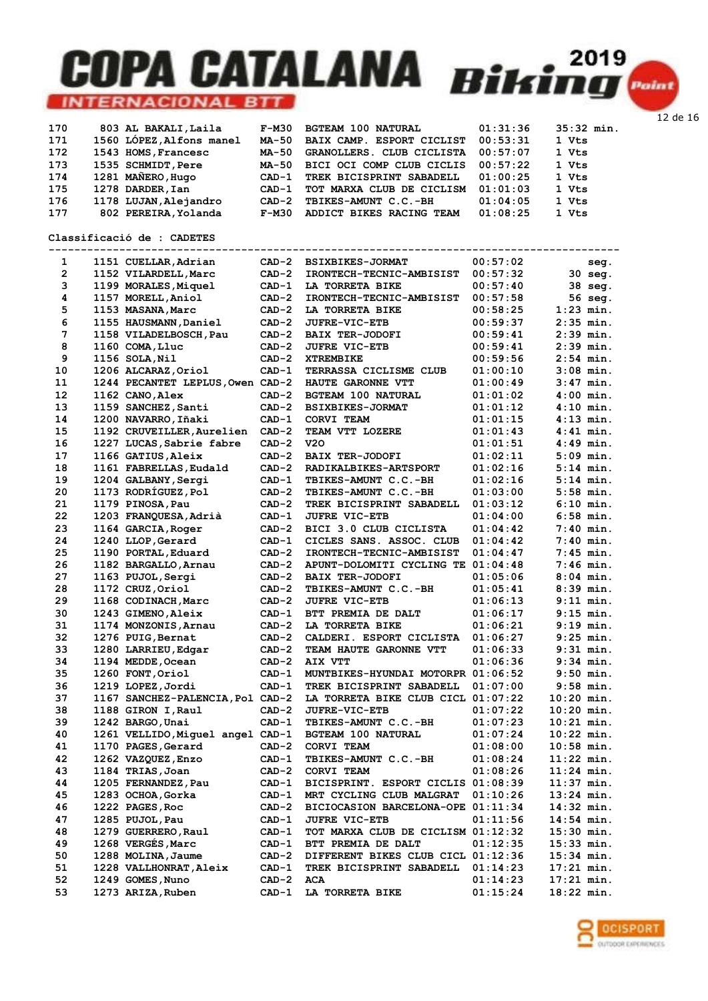

| 170 | 803 AL BAKALI, Laila     | F-M30   | <b>BGTEAM 100 NATURAL</b> | 01:31:36 | $35:32$ min. |
|-----|--------------------------|---------|---------------------------|----------|--------------|
| 171 | 1560 LÓPEZ, Alfons manel | MA-50   | BAIX CAMP. ESPORT CICLIST | 00:53:31 | 1 Vts        |
| 172 | 1543 HOMS, Francesc      | MA-50   | GRANOLLERS. CLUB CICLISTA | 00:57:07 | 1 Vts        |
| 173 | 1535 SCHMIDT, Pere       | MA-50   | BICI OCI COMP CLUB CICLIS | 00:57:22 | 1 Vts        |
| 174 | 1281 MAÑERO, Hugo        | $CAD-1$ | TREK BICISPRINT SABADELL  | 01:00:25 | 1 Vts        |
| 175 | 1278 DARDER, Ian         | CAD-1   | TOT MARXA CLUB DE CICLISM | 01:01:03 | 1 Vts        |
| 176 | 1178 LUJAN, Alejandro    | CAD-2   | TBIKES-AMUNT C.C.-BH      | 01:04:05 | 1 Vts        |
| 177 | 802 PEREIRA, Yolanda     | F-M30   | ADDICT BIKES RACING TEAM  | 01:08:25 | 1 Vts        |

#### Classificació de : CADETES

| 1              | 1151 CUELLAR, Adrian             | $CAD-2$ | <b>BSIXBIKES-JORMAT</b>            | 00:57:02 |              | seg.      |
|----------------|----------------------------------|---------|------------------------------------|----------|--------------|-----------|
| $\overline{2}$ | 1152 VILARDELL, Marc             | $CAD-2$ | <b>IRONTECH-TECNIC-AMBISIST</b>    | 00:57:32 |              | $30$ seq. |
| 3              | 1199 MORALES, Miquel             | $CAD-1$ | LA TORRETA BIKE                    | 00:57:40 |              | 38 seg.   |
| 4              | 1157 MORELL, Aniol               | $CAD-2$ | IRONTECH-TECNIC-AMBISIST           | 00:57:58 |              | 56 seg.   |
| 5              | 1153 MASANA, Marc                | $CAD-2$ | LA TORRETA BIKE                    | 00:58:25 | $1:23$ min.  |           |
| 6              | 1155 HAUSMANN, Daniel            | $CAD-2$ | JUFRE-VIC-ETB                      | 00:59:37 | $2:35$ min.  |           |
| 7              | 1158 VILADELBOSCH, Pau           | $CAD-2$ | <b>BAIX TER-JODOFI</b>             | 00:59:41 | $2:39$ min.  |           |
| 8              | 1160 COMA, Lluc                  | $CAD-2$ | <b>JUFRE VIC-ETB</b>               | 00:59:41 | $2:39$ min.  |           |
| 9              | 1156 SOLA, Nil                   | $CAD-2$ | <b>XTREMBIKE</b>                   | 00:59:56 | $2:54$ min.  |           |
| 10             | 1206 ALCARAZ, Oriol              | $CAD-1$ | TERRASSA CICLISME CLUB             | 01:00:10 | $3:08$ min.  |           |
| 11             | 1244 PECANTET LEPLUS, Owen CAD-2 |         | HAUTE GARONNE VTT                  | 01:00:49 | $3:47$ min.  |           |
| 12             | 1162 CANO, Alex                  | $CAD-2$ | <b>BGTEAM 100 NATURAL</b>          | 01:01:02 | $4:00$ min.  |           |
| 13             | 1159 SANCHEZ, Santi              | $CAD-2$ | <b>BSIXBIKES-JORMAT</b>            | 01:01:12 | $4:10$ min.  |           |
| 14             | 1200 NAVARRO, Iñaki              | $CAD-1$ | CORVI TEAM                         | 01:01:15 | $4:13$ min.  |           |
| 15             | 1192 CRUVEILLER, Aurelien        | $CAD-2$ | TEAM VTT LOZERE                    | 01:01:43 | $4:41$ min.  |           |
| 16             | 1227 LUCAS, Sabrie fabre         | $CAD-2$ | <b>v20</b>                         | 01:01:51 | $4:49$ min.  |           |
| 17             | 1166 GATIUS, Aleix               | $CAD-2$ | <b>BAIX TER-JODOFI</b>             | 01:02:11 | $5:09$ min.  |           |
| 18             | 1161 FABRELLAS, Eudald           | $CAD-2$ | <b>RADIKALBIKES-ARTSPORT</b>       | 01:02:16 | $5:14$ min.  |           |
| 19             | 1204 GALBANY, Sergi              | $CAD-1$ | TBIKES-AMUNT C.C.-BH               | 01:02:16 | $5:14$ min.  |           |
| 20             | 1173 RODRÍGUEZ, Pol              | $CAD-2$ | TBIKES-AMUNT C.C.-BH               | 01:03:00 | $5:58$ min.  |           |
| 21             | 1179 PINOSA, Pau                 | $CAD-2$ | TREK BICISPRINT SABADELL           | 01:03:12 | $6:10$ min.  |           |
| 22             | 1203 FRANQUESA, Adrià            | $CAD-1$ | <b>JUFRE VIC-ETB</b>               | 01:04:00 | $6:58$ min.  |           |
| 23             | 1164 GARCIA, Roger               | $CAD-2$ | BICI 3.0 CLUB CICLISTA             | 01:04:42 | $7:40$ min.  |           |
| 24             | 1240 LLOP, Gerard                | $CAD-1$ | CICLES SANS. ASSOC. CLUB           | 01:04:42 | $7:40$ min.  |           |
| 25             | 1190 PORTAL, Eduard              | $CAD-2$ |                                    |          | $7:45$ min.  |           |
| 26             |                                  |         | IRONTECH-TECNIC-AMBISIST           | 01:04:47 |              |           |
|                | 1182 BARGALLO, Arnau             | $CAD-2$ | APUNT-DOLOMITI CYCLING TE          | 01:04:48 | $7:46$ min.  |           |
| 27             | 1163 PUJOL, Sergi                | $CAD-2$ | <b>BAIX TER-JODOFI</b>             | 01:05:06 | $8:04$ min.  |           |
| 28             | 1172 CRUZ, Oriol                 | $CAD-2$ | TBIKES-AMUNT C.C.-BH               | 01:05:41 | $8:39$ min.  |           |
| 29             | 1168 CODINACH, Marc              | $CAD-2$ | <b>JUFRE VIC-ETB</b>               | 01:06:13 | $9:11$ min.  |           |
| 30             | 1243 GIMENO, Aleix               | $CAD-1$ | BTT PREMIA DE DALT                 | 01:06:17 | $9:15$ min.  |           |
| 31             | 1174 MONZONIS, Arnau             | $CAD-2$ | LA TORRETA BIKE                    | 01:06:21 | $9:19$ min.  |           |
| 32             | 1276 PUIG, Bernat                | $CAD-2$ | CALDERI. ESPORT CICLISTA           | 01:06:27 | $9:25$ min.  |           |
| 33             | 1280 LARRIEU, Edgar              | $CAD-2$ | TEAM HAUTE GARONNE VTT             | 01:06:33 | $9:31$ min.  |           |
| 34             | 1194 MEDDE, Ocean                | $CAD-2$ | AIX VTT                            | 01:06:36 | $9:34$ min.  |           |
| 35             | 1260 FONT, Oriol                 | $CAD-1$ | MUNTBIKES-HYUNDAI MOTORPR 01:06:52 |          | $9:50$ min.  |           |
| 36             | 1219 LOPEZ, Jordi                | $CAD-1$ | TREK BICISPRINT SABADELL           | 01:07:00 | $9:58$ min.  |           |
| 37             | 1167 SANCHEZ-PALENCIA, Pol CAD-2 |         | LA TORRETA BIKE CLUB CICL 01:07:22 |          | 10:20 min.   |           |
| 38             | 1188 GIRON I, Raul               | $CAD-2$ | <b>JUFRE-VIC-ETB</b>               | 01:07:22 | $10:20$ min. |           |
| 39             | 1242 BARGO, Unai                 | $CAD-1$ | TBIKES-AMUNT C.C.-BH               | 01:07:23 | $10:21$ min. |           |
| 40             | 1261 VELLIDO, Miguel angel CAD-1 |         | <b>BGTEAM 100 NATURAL</b>          | 01:07:24 | $10:22$ min. |           |
| 41             | 1170 PAGES, Gerard               | $CAD-2$ | CORVI TEAM                         | 01:08:00 | $10:58$ min. |           |
| 42             | 1262 VAZQUEZ, Enzo               | $CAD-1$ | TBIKES-AMUNT C.C.-BH               | 01:08:24 | $11:22$ min. |           |
| 43             | 1184 TRIAS, Joan                 | $CAD-2$ | CORVI TEAM                         | 01:08:26 | $11:24$ min. |           |
| 44             | 1205 FERNANDEZ, Pau              | $CAD-1$ | BICISPRINT. ESPORT CICLIS 01:08:39 |          | $11:37$ min. |           |
| 45             | 1283 OCHOA, Gorka                | CAD-1   | MRT CYCLING CLUB MALGRAT           | 01:10:26 | 13:24 min.   |           |
| 46             | 1222 PAGES, Roc                  | $CAD-2$ | BICIOCASION BARCELONA-OPE 01:11:34 |          | 14:32 min.   |           |
| 47             | 1285 PUJOL, Pau                  | $CAD-1$ | <b>JUFRE VIC-ETB</b>               | 01:11:56 | 14:54 min.   |           |
| 48             | 1279 GUERRERO, Raul              | $CAD-1$ | TOT MARXA CLUB DE CICLISM 01:12:32 |          | 15:30 min.   |           |
| 49             | 1268 VERGÉS, Marc                | $CAD-1$ | BTT PREMIA DE DALT                 | 01:12:35 | $15:33$ min. |           |
| 50             | 1288 MOLINA, Jaume               | $CAD-2$ | DIFFERENT BIKES CLUB CICL 01:12:36 |          | 15:34 min.   |           |
| 51             | 1228 VALLHONRAT, Aleix           | CAD-1   | TREK BICISPRINT SABADELL           | 01:14:23 | 17:21 min.   |           |
| 52             | 1249 GOMES, Nuno                 | $CAD-2$ | ACA                                | 01:14:23 | 17:21 min.   |           |
| 53             | 1273 ARIZA, Ruben                | $CAD-1$ | LA TORRETA BIKE                    | 01:15:24 | 18:22 min.   |           |

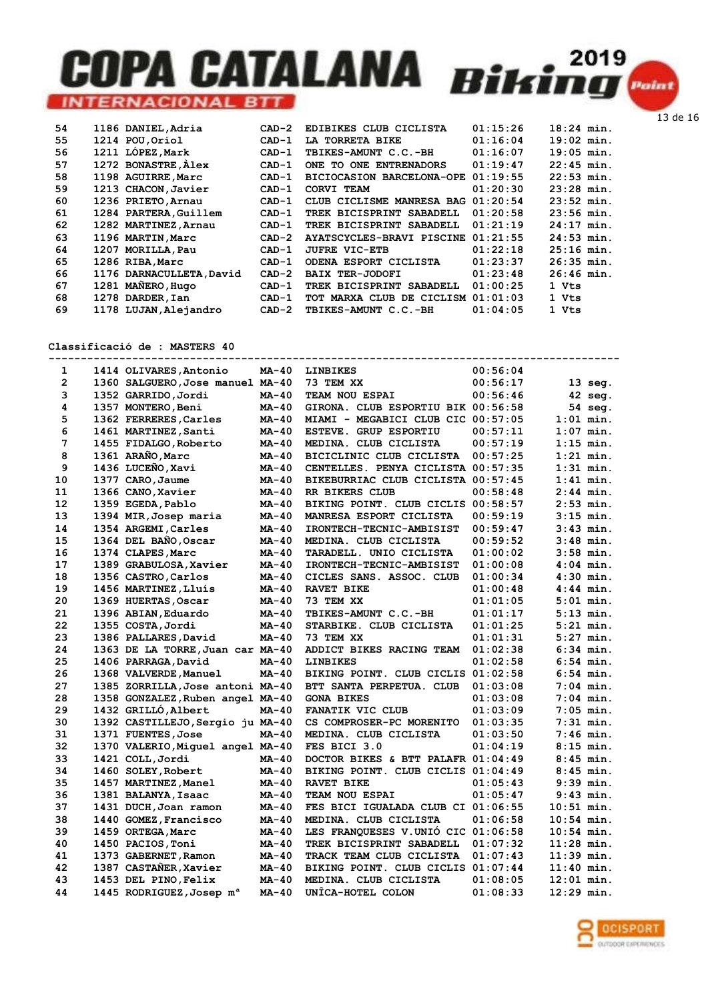| 54 | 1186 DANIEL, Adria       | $CAD-2$ | EDIBIKES CLUB CICLISTA             | 01:15:26 | $18:24$ min. |
|----|--------------------------|---------|------------------------------------|----------|--------------|
| 55 | 1214 POU.Oriol           | $CAD-1$ | LA TORRETA BIKE                    | 01:16:04 | $19:02$ min. |
| 56 | 1211 LÓPEZ, Mark         | $CAD-1$ | TBIKES-AMUNT C.C.-BH               | 01:16:07 | $19:05$ min. |
| 57 | 1272 BONASTRE, Alex      | $CAD-1$ | ONE TO ONE ENTRENADORS             | 01:19:47 | $22:45$ min. |
| 58 | 1198 AGUIRRE, Marc       | $CAD-1$ | BICIOCASION BARCELONA-OPE          | 01:19:55 | $22:53$ min. |
| 59 | 1213 CHACON, Javier      | $CAD-1$ | CORVI TEAM                         | 01:20:30 | $23:28$ min. |
| 60 | 1236 PRIETO, Arnau       | $CAD-1$ | CLUB CICLISME MANRESA BAG 01:20:54 |          | $23:52$ min. |
| 61 | 1284 PARTERA, Guillem    | $CAD-1$ | TREK BICISPRINT SABADELL           | 01:20:58 | $23:56$ min. |
| 62 | 1282 MARTINEZ, Arnau     | $CAD-1$ | TREK BICISPRINT SABADELL           | 01:21:19 | $24:17$ min. |
| 63 | 1196 MARTIN, Marc        | $CAD-2$ | AYATSCYCLES-BRAVI PISCINE          | 01:21:55 | $24:53$ min. |
| 64 | 1207 MORILLA, Pau        | $CAD-1$ | <b>JUFRE VIC-ETB</b>               | 01:22:18 | $25:16$ min. |
| 65 | 1286 RIBA, Marc          | $CAD-1$ | ODENA ESPORT CICLISTA              | 01:23:37 | $26:35$ min. |
| 66 | 1176 DARNACULLETA, David | $CAD-2$ | <b>BAIX TER-JODOFI</b>             | 01:23:48 | $26:46$ min. |
| 67 | 1281 MAÑERO, Hugo        | $CAD-1$ | TREK BICISPRINT SABADELL           | 01:00:25 | 1 Vts        |
| 68 | 1278 DARDER, Ian         | CAD-1   | TOT MARXA CLUB DE CICLISM 01:01:03 |          | 1 Vts        |
| 69 | 1178 LUJAN, Alejandro    | $CAD-2$ | TBIKES-AMUNT C.C.-BH               | 01:04:05 | 1 Vts        |
|    |                          |         |                                    |          |              |

Classificació de : MASTERS 40

| 1              | 1414 OLIVARES, Antonio               | MA-40        | <b>LINBIKES</b>                    | 00:56:04 |              |
|----------------|--------------------------------------|--------------|------------------------------------|----------|--------------|
| $\overline{2}$ | 1360 SALGUERO, Jose manuel MA-40     |              | 73 TEM XX                          | 00:56:17 | $13$ seq.    |
| 3              | 1352 GARRIDO, Jordi                  | <b>MA-40</b> | TEAM NOU ESPAI                     | 00:56:46 | $42$ seq.    |
| 4              | 1357 MONTERO, Beni                   | MA-40        | GIRONA. CLUB ESPORTIU BIK 00:56:58 |          | 54 seg.      |
| 5              | 1362 FERRERES, Carles                | <b>MA-40</b> | MIAMI - MEGABICI CLUB CIC 00:57:05 |          | $1:01$ min.  |
| 6              | 1461 MARTINEZ, Santi                 | $MA-40$      | ESTEVE. GRUP ESPORTIU              | 00:57:11 | $1:07$ min.  |
| 7              | 1455 FIDALGO, Roberto                | MA-40        | MEDINA. CLUB CICLISTA              | 00:57:19 | $1:15$ min.  |
| 8              | 1361 ARAÑO, Marc                     | <b>MA-40</b> | BICICLINIC CLUB CICLISTA           | 00:57:25 | $1:21$ min.  |
| 9              | 1436 LUCEÑO, Xavi                    | <b>MA-40</b> | CENTELLES. PENYA CICLISTA 00:57:35 |          | $1:31$ min.  |
| 10             | 1377 CARO, Jaume                     | $MA-40$      | BIKEBURRIAC CLUB CICLISTA 00:57:45 |          | $1:41$ min.  |
| 11             | 1366 CANO, Xavier                    | <b>MA-40</b> | RR BIKERS CLUB                     | 00:58:48 | $2:44$ min.  |
| 12             | 1359 EGEDA, Pablo                    | <b>MA-40</b> | BIKING POINT. CLUB CICLIS 00:58:57 |          | $2:53$ min.  |
| 13             | 1394 MIR, Josep maria                | MA-40        | MANRESA ESPORT CICLISTA            | 00:59:19 | $3:15$ min.  |
| 14             | 1354 ARGEMI, Carles                  | <b>MA-40</b> | IRONTECH-TECNIC-AMBISIST           | 00:59:47 | $3:43$ min.  |
| 15             | 1364 DEL BAÑO, Oscar                 | <b>MA-40</b> | MEDINA. CLUB CICLISTA              | 00:59:52 | $3:48$ min.  |
| 16             | 1374 CLAPES, Marc                    | <b>MA-40</b> | TARADELL. UNIO CICLISTA            | 01:00:02 | $3:58$ min.  |
| 17             | 1389 GRABULOSA, Xavier               | <b>MA-40</b> | IRONTECH-TECNIC-AMBISIST           | 01:00:08 | $4:04$ min.  |
| 18             | 1356 CASTRO, Carlos                  | MA-40        | CICLES SANS. ASSOC. CLUB           | 01:00:34 | $4:30$ min.  |
| 19             | 1456 MARTINEZ, Lluís                 | $MA-40$      | RAVET BIKE                         | 01:00:48 | $4:44$ min.  |
| 20             | 1369 HUERTAS, Oscar                  | <b>MA-40</b> | 73 TEM XX                          | 01:01:05 | $5:01$ min.  |
| 21             | 1396 ABIAN, Eduardo                  | $MA-40$      | TBIKES-AMUNT C.C.-BH               | 01:01:17 | $5:13$ min.  |
| 22             | 1355 COSTA, Jordi                    | $MA-40$      | STARBIKE. CLUB CICLISTA            | 01:01:25 | $5:21$ min.  |
| 23             | 1386 PALLARES, David                 | <b>MA-40</b> | 73 TEM XX                          | 01:01:31 | $5:27$ min.  |
| 24             | 1363 DE LA TORRE, Juan car MA-40     |              | ADDICT BIKES RACING TEAM           | 01:02:38 | $6:34$ min.  |
| 25             | 1406 PARRAGA, David                  | $MA-40$      | <b>LINBIKES</b>                    | 01:02:58 | $6:54$ min.  |
| 26             | 1368 VALVERDE, Manuel                | $MA-40$      | BIKING POINT. CLUB CICLIS 01:02:58 |          | $6:54$ min.  |
| 27             | 1385 ZORRILLA, Jose antoni MA-40     |              | BTT SANTA PERPETUA. CLUB           | 01:03:08 | $7:04$ min.  |
| 28             | 1358 GONZALEZ, Ruben angel MA-40     |              | <b>GONA BIKES</b>                  | 01:03:08 | $7:04$ min.  |
| 29             | 1432 GRILLÓ, Albert                  | <b>MA-40</b> | FANATIK VIC CLUB                   | 01:03:09 | $7:05$ min.  |
| 30             | 1392 CASTILLEJO, Sergio ju MA-40     |              | CS COMPROSER-PC MORENITO           | 01:03:35 | $7:31$ min.  |
| 31             | 1371 FUENTES, Jose                   | $MA-40$      | MEDINA. CLUB CICLISTA              | 01:03:50 | $7:46$ min.  |
| 32             | 1370 VALERIO, Miquel angel MA-40     |              | FES BICI 3.0                       | 01:04:19 | $8:15$ min.  |
| 33             | 1421 COLL, Jordi                     | MA-40        | DOCTOR BIKES & BTT PALAFR 01:04:49 |          | $8:45$ min.  |
| 34             | 1460 SOLEY, Robert                   | $MA-40$      | BIKING POINT. CLUB CICLIS 01:04:49 |          | $8:45$ min.  |
| 35             | 1457 MARTINEZ, Manel                 | $MA-40$      | <b>RAVET BIKE</b>                  | 01:05:43 | $9:39$ min.  |
| 36             | 1381 BALANYA, Isaac                  | MA-40        | <b>TEAM NOU ESPAI</b>              | 01:05:47 | $9:43$ min.  |
| 37             | 1431 DUCH, Joan ramon                | <b>MA-40</b> | FES BICI IGUALADA CLUB CI 01:06:55 |          | $10:51$ min. |
| 38             | 1440 GOMEZ, Francisco                | MA-40        | MEDINA. CLUB CICLISTA              | 01:06:58 | $10:54$ min. |
| 39             | 1459 ORTEGA, Marc                    | MA-40        | LES FRANQUESES V.UNIO CIC 01:06:58 |          | $10:54$ min. |
| 40             | 1450 PACIOS, Toni                    | $MA-40$      | TREK BICISPRINT SABADELL           | 01:07:32 | 11:28 min.   |
| 41             | 1373 GABERNET, Ramon                 | $MA-40$      | TRACK TEAM CLUB CICLISTA           | 01:07:43 | $11:39$ min. |
| 42             | 1387 CASTAÑER, Xavier                | <b>MA-40</b> | BIKING POINT. CLUB CICLIS 01:07:44 |          | $11:40$ min. |
| 43             | 1453 DEL PINO, Felix                 | $MA-40$      | MEDINA. CLUB CICLISTA              | 01:08:05 | $12:01$ min. |
| 44             | 1445 RODRIGUEZ, Josep m <sup>a</sup> | $MA-40$      | UNÎCA-HOTEL COLON                  | 01:08:33 | $12:29$ min. |

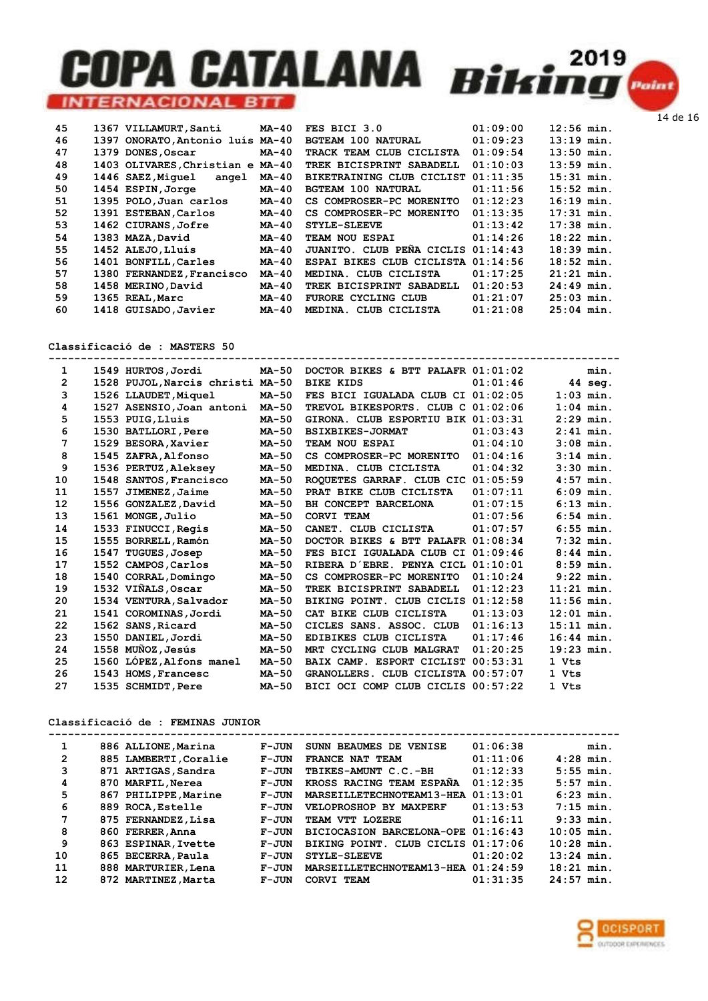

| 45 | 1367 VILLAMURT, Santi            | $MA-40$      | FES BICI 3.0                       | 01:09:00 | $12:56$ min. |
|----|----------------------------------|--------------|------------------------------------|----------|--------------|
| 46 | 1397 ONORATO, Antonio luís MA-40 |              | <b>BGTEAM 100 NATURAL</b>          | 01:09:23 | $13:19$ min. |
| 47 | 1379 DONES, Oscar                | $MA-40$      | TRACK TEAM CLUB CICLISTA           | 01:09:54 | $13:50$ min. |
| 48 | 1403 OLIVARES, Christian e MA-40 |              | TREK BICISPRINT SABADELL           | 01:10:03 | $13:59$ min. |
| 49 | 1446 SAEZ, Miquel<br>angel       | $MA-40$      | BIKETRAINING CLUB CICLIST          | 01:11:35 | $15:31$ min. |
| 50 | 1454 ESPIN, Jorge                | <b>MA-40</b> | <b>BGTEAM 100 NATURAL</b>          | 01:11:56 | $15:52$ min. |
| 51 | 1395 POLO, Juan carlos           | $MA-40$      | CS COMPROSER-PC MORENITO           | 01:12:23 | $16:19$ min. |
| 52 | 1391 ESTEBAN, Carlos             | $MA-40$      | CS COMPROSER-PC MORENITO           | 01:13:35 | $17:31$ min. |
| 53 | 1462 CIURANS, Jofre              | <b>MA-40</b> | <b>STYLE-SLEEVE</b>                | 01:13:42 | $17:38$ min. |
| 54 | 1383 MAZA, David                 | <b>MA-40</b> | TEAM NOU ESPAI                     | 01:14:26 | $18:22$ min. |
| 55 | 1452 ALEJO, Lluís                | $MA-40$      | JUANITO. CLUB PENA CICLIS          | 01:14:43 | $18:39$ min. |
| 56 | 1401 BONFILL, Carles             | $MA-40$      | ESPAI BIKES CLUB CICLISTA 01:14:56 |          | $18:52$ min. |
| 57 | 1380 FERNANDEZ, Francisco        | MA-40        | MEDINA. CLUB CICLISTA              | 01:17:25 | $21:21$ min. |
| 58 | 1458 MERINO, David               | $MA-40$      | TREK BICISPRINT SABADELL           | 01:20:53 | $24:49$ min. |
| 59 | 1365 REAL, Marc                  | $MA-40$      | <b>FURORE CYCLING CLUB</b>         | 01:21:07 | $25:03$ min. |
| 60 | 1418 GUISADO, Javier             | $MA-40$      | MEDINA. CLUB CICLISTA              | 01:21:08 | $25:04$ min. |

Classificació de : MASTERS 50

| 1              |      | 1549 HURTOS, Jordi               | MA-50        | DOCTOR BIKES & BTT PALAFR $01:01:02$ |          | min.         |
|----------------|------|----------------------------------|--------------|--------------------------------------|----------|--------------|
| $\overline{2}$ |      | 1528 PUJOL, Narcis christi MA-50 |              | <b>BIKE KIDS</b>                     | 01:01:46 | 44 seg.      |
| 3              |      | 1526 LLAUDET, Miquel             | <b>MA-50</b> | FES BICI IGUALADA CLUB CI 01:02:05   |          | $1:03$ min.  |
| 4              |      | 1527 ASENSIO, Joan antoni        | <b>MA-50</b> | TREVOL BIKESPORTS. CLUB C 01:02:06   |          | $1:04$ min.  |
| 5              |      | 1553 PUIG, Lluis                 | <b>MA-50</b> | GIRONA. CLUB ESPORTIU BIK 01:03:31   |          | $2:29$ min.  |
| 6              |      | 1530 BATLLORI, Pere              | <b>MA-50</b> | <b>BSIXBIKES-JORMAT</b>              | 01:03:43 | $2:41$ min.  |
| 7              |      | 1529 BESORA, Xavier              | <b>MA-50</b> | TEAM NOU ESPAI                       | 01:04:10 | $3:08$ min.  |
| 8              |      | 1545 ZAFRA, Alfonso              | <b>MA-50</b> | CS COMPROSER-PC MORENITO             | 01:04:16 | $3:14$ min.  |
| 9              |      | 1536 PERTUZ, Aleksey             | <b>MA-50</b> | MEDINA. CLUB CICLISTA                | 01:04:32 | $3:30$ min.  |
| 10             |      | 1548 SANTOS, Francisco           | <b>MA-50</b> | ROOUETES GARRAF. CLUB CIC            | 01:05:59 | $4:57$ min.  |
| 11             | 1557 | JIMENEZ, Jaime                   | <b>MA-50</b> | PRAT BIKE CLUB CICLISTA              | 01:07:11 | $6:09$ min.  |
| 12             |      | 1556 GONZALEZ, David             | <b>MA-50</b> | BH CONCEPT BARCELONA                 | 01:07:15 | $6:13$ min.  |
| 13             |      | 1561 MONGE, Julio                | <b>MA-50</b> | <b>CORVI TEAM</b>                    | 01:07:56 | $6:54$ min.  |
| 14             |      | 1533 FINUCCI, Regis              | MA-50        | CANET. CLUB CICLISTA                 | 01:07:57 | $6:55$ min.  |
| 15             |      | 1555 BORRELL, Ramón              | <b>MA-50</b> | DOCTOR BIKES & BTT PALAFR            | 01:08:34 | $7:32$ min.  |
| 16             |      | 1547 TUGUES, Josep               | <b>MA-50</b> | FES BICI IGUALADA CLUB CI 01:09:46   |          | $8:44$ min.  |
| 17             |      | 1552 CAMPOS, Carlos              | <b>MA-50</b> | RIBERA D'EBRE. PENYA CICL            | 01:10:01 | $8:59$ min.  |
| 18             |      | 1540 CORRAL, Domingo             | <b>MA-50</b> | CS COMPROSER-PC MORENITO             | 01:10:24 | $9:22$ min.  |
| 19             |      | 1532 VIÑALS, Oscar               | <b>MA-50</b> | TREK BICISPRINT SABADELL             | 01:12:23 | $11:21$ min. |
| 20             |      | 1534 VENTURA, Salvador           | <b>MA-50</b> | BIKING POINT. CLUB CICLIS            | 01:12:58 | $11:56$ min. |
| 21             |      | 1541 COROMINAS, Jordi            | <b>MA-50</b> | CAT BIKE CLUB CICLISTA               | 01:13:03 | $12:01$ min. |
| 22             |      | 1562 SANS, Ricard                | MA-50        | CICLES SANS. ASSOC. CLUB             | 01:16:13 | $15:11$ min. |
| 23             |      | 1550 DANIEL, Jordi               | <b>MA-50</b> | EDIBIKES CLUB CICLISTA               | 01:17:46 | $16:44$ min. |
| 24             |      | 1558 MUÑOZ, Jesús                | <b>MA-50</b> | MRT CYCLING CLUB MALGRAT             | 01:20:25 | $19:23$ min. |
| 25             |      | 1560 LÓPEZ, Alfons manel         | <b>MA-50</b> | BAIX CAMP. ESPORT CICLIST            | 00:53:31 | 1 Vts        |
| 26             |      | 1543 HOMS, Francesc              | <b>MA-50</b> | GRANOLLERS. CLUB CICLISTA 00:57:07   |          | 1 Vts        |
| 27             |      | 1535 SCHMIDT, Pere               | MA-50        | BICI OCI COMP CLUB CICLIS 00:57:22   |          | 1 Vts        |

#### Classificació de : FEMINAS JUNIOR

| 1              | 886 ALLIONE, Marina   | F-JUN   | SUNN BEAUMES DE VENISE             | 01:06:38 | min.         |  |
|----------------|-----------------------|---------|------------------------------------|----------|--------------|--|
| $\overline{2}$ | 885 LAMBERTI, Coralie | $F-JUN$ | FRANCE NAT TEAM                    | 01:11:06 | $4:28$ min.  |  |
| 3              | 871 ARTIGAS, Sandra   | $F-JUN$ | TBIKES-AMUNT C.C.-BH               | 01:12:33 | $5:55$ min.  |  |
| 4              | 870 MARFIL, Nerea     | $F-JUN$ | KROSS RACING TEAM ESPANA           | 01:12:35 | $5:57$ min.  |  |
| 5              | 867 PHILIPPE, Marine  | $F-JUN$ | MARSEILLETECHNOTEAM13-HEA          | 01:13:01 | $6:23$ min.  |  |
| 6              | 889 ROCA, Estelle     | $F-JUN$ | VELOPROSHOP BY MAXPERF             | 01:13:53 | $7:15$ min.  |  |
| 7              | 875 FERNANDEZ, Lisa   | $F-JUN$ | TEAM VTT LOZERE                    | 01:16:11 | $9:33$ min.  |  |
| 8              | 860 FERRER, Anna      | $F-JUN$ | BICIOCASION BARCELONA-OPE 01:16:43 |          | $10:05$ min. |  |
| 9              | 863 ESPINAR, Ivette   | $F-JUN$ | BIKING POINT. CLUB CICLIS 01:17:06 |          | $10:28$ min. |  |
| 10             | 865 BECERRA, Paula    | $F-JUN$ | <b>STYLE-SLEEVE</b>                | 01:20:02 | $13:24$ min. |  |
| 11             | 888 MARTURIER, Lena   | $F-JUN$ | MARSEILLETECHNOTEAM13-HEA          | 01:24:59 | $18:21$ min. |  |
| 12             | 872 MARTINEZ, Marta   | $F-JUN$ | CORVI TEAM                         | 01:31:35 | $24:57$ min. |  |

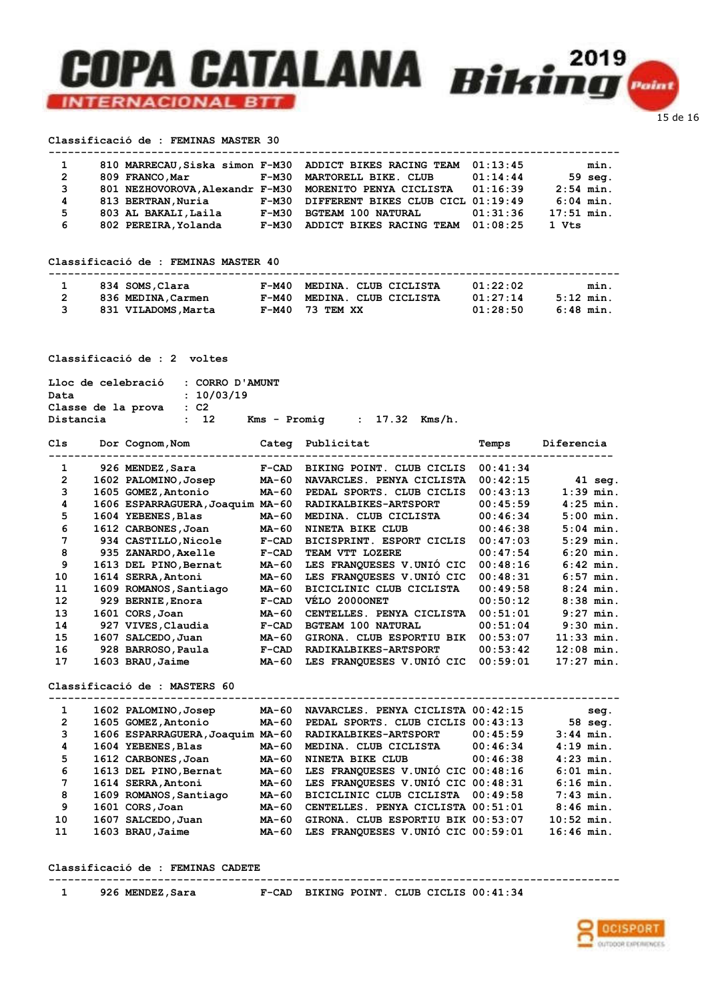#### Classificació de : FEMINAS MASTER 30

| 1              |                      |       | 810 MARRECAU, Siska simon F-M30 ADDICT BIKES RACING TEAM        | 01:13:45 | min.         |
|----------------|----------------------|-------|-----------------------------------------------------------------|----------|--------------|
| $\overline{2}$ | 809 FRANCO, Mar      | F-M30 | MARTORELL BIKE. CLUB                                            | 01:14:44 | $59$ seq.    |
| 3              |                      |       | 801 NEZHOVOROVA.Alexandr F-M30 MORENITO PENYA CICLISTA 01:16:39 |          | $2:54$ min.  |
| 4              | 813 BERTRAN, Nuria   | F-M30 | DIFFERENT BIKES CLUB CICL 01:19:49                              |          | $6:04$ min.  |
| 5              | 803 AL BAKALI, Laila | F-M30 | <b>BGTEAM 100 NATURAL</b>                                       | 01:31:36 | $17:51$ min. |
| -6             | 802 PEREIRA, Yolanda | F-M30 | ADDICT BIKES RACING TEAM                                        | 01:08:25 | 1 Vts        |

#### Classificació de : FEMINAS MASTER 40

| 834 SOMS, Clara     | F-M40 MEDINA. CLUB CICLISTA | 01:22:02 | min.      |
|---------------------|-----------------------------|----------|-----------|
| 836 MEDINA, Carmen  | F-M40 MEDINA. CLUB CICLISTA | 01:27:14 | 5:12 min. |
| 831 VILADOMS, Marta | $F-M40$ 73 TEM XX           | 01:28:50 | 6:48 min. |

#### Classificació de : 2 voltes

| Lloc de celebració : CORRO D'AMUNT |                 |                                  |  |  |
|------------------------------------|-----------------|----------------------------------|--|--|
| Data                               | : 10/03/19      |                                  |  |  |
| Classe de la prova                 | $\cdot$ $c2$    |                                  |  |  |
| Distancia                          | $\therefore$ 12 | $Kms - Promia$ : 17.32 $Kms/h$ . |  |  |

|      |               | Categ                                                                                                                                                                                                                                                                                                                                                           | Publicitat                       | Temps    | Diferencia   |
|------|---------------|-----------------------------------------------------------------------------------------------------------------------------------------------------------------------------------------------------------------------------------------------------------------------------------------------------------------------------------------------------------------|----------------------------------|----------|--------------|
|      |               | $F-CAD$                                                                                                                                                                                                                                                                                                                                                         | BIKING POINT. CLUB CICLIS        | 00:41:34 |              |
|      |               | MA-60                                                                                                                                                                                                                                                                                                                                                           | NAVARCLES. PENYA CICLISTA        | 00:42:15 | $41$ seq.    |
|      |               | MA-60                                                                                                                                                                                                                                                                                                                                                           | PEDAL SPORTS. CLUB CICLIS        | 00:43:13 | $1:39$ min.  |
|      |               |                                                                                                                                                                                                                                                                                                                                                                 | RADIKALBIKES-ARTSPORT            | 00:45:59 | $4:25$ min.  |
|      |               | MA-60                                                                                                                                                                                                                                                                                                                                                           | MEDINA. CLUB CICLISTA            | 00:46:34 | $5:00$ min.  |
|      |               | MA-60                                                                                                                                                                                                                                                                                                                                                           | NINETA BIKE CLUB                 | 00:46:38 | $5:04$ min.  |
|      |               | $F-CAD$                                                                                                                                                                                                                                                                                                                                                         | BICISPRINT. ESPORT CICLIS        | 00:47:03 | $5:29$ min.  |
|      |               | $F-CAD$                                                                                                                                                                                                                                                                                                                                                         | TEAM VTT LOZERE                  | 00:47:54 | $6:20$ min.  |
|      |               | MA-60                                                                                                                                                                                                                                                                                                                                                           | LES FRANOUESES V.UNIO CIC        | 00:48:16 | $6:42$ min.  |
|      |               | MA-60                                                                                                                                                                                                                                                                                                                                                           | LES FRANQUESES V.UNIO CIC        | 00:48:31 | $6:57$ min.  |
|      |               | MA-60                                                                                                                                                                                                                                                                                                                                                           | BICICLINIC CLUB CICLISTA         | 00:49:58 | $8:24$ min.  |
|      |               | $F-CAD$                                                                                                                                                                                                                                                                                                                                                         | VELO 2000ONET                    | 00:50:12 | $8:38$ min.  |
|      |               | MA-60                                                                                                                                                                                                                                                                                                                                                           | CENTELLES. PENYA CICLISTA        | 00:51:01 | $9:27$ min.  |
|      |               | $F-CAD$                                                                                                                                                                                                                                                                                                                                                         | <b>BGTEAM 100 NATURAL</b>        | 00:51:04 | $9:30$ min.  |
| 1607 | SALCEDO, Juan | MA-60                                                                                                                                                                                                                                                                                                                                                           | GIRONA. CLUB ESPORTIU BIK        | 00:53:07 | $11:33$ min. |
|      |               | $F-CAD$                                                                                                                                                                                                                                                                                                                                                         | RADIKALBIKES-ARTSPORT            | 00:53:42 | $12:08$ min. |
|      |               | MA-60                                                                                                                                                                                                                                                                                                                                                           | LES FRANQUESES V.UNIO CIC        | 00:59:01 | $17:27$ min. |
|      |               | Dor Cognom, Nom<br>926 MENDEZ, Sara<br>1602 PALOMINO, Josep<br>1605 GOMEZ, Antonio<br>1604 YEBENES, Blas<br>1612 CARBONES, Joan<br>934 CASTILLO, Nicole<br>935 ZANARDO, Axelle<br>1613 DEL PINO, Bernat<br>1614 SERRA, Antoni<br>1609 ROMANOS, Santiago<br>929 BERNIE, Enora<br>1601 CORS, Joan<br>927 VIVES, Claudia<br>928 BARROSO, Paula<br>1603 BRAU, Jaime | 1606 ESPARRAGUERA, Joaquim MA-60 |          |              |

#### Classificació de : MASTERS 60

| 1                     | 1602 PALOMINO, Josep             | MA-60 | NAVARCLES. PENYA CICLISTA 00:42:15 |          | seq.         |
|-----------------------|----------------------------------|-------|------------------------------------|----------|--------------|
| $\mathbf{2}^{\prime}$ | 1605 GOMEZ, Antonio              | MA-60 | PEDAL SPORTS. CLUB CICLIS 00:43:13 |          | 58 seg.      |
| 3                     | 1606 ESPARRAGUERA, Joaquim MA-60 |       | RADIKALBIKES-ARTSPORT              | 00:45:59 | $3:44$ min.  |
| 4                     | 1604 YEBENES, Blas               | MA-60 | MEDINA. CLUB CICLISTA              | 00:46:34 | $4:19$ min.  |
| 5                     | 1612 CARBONES, Joan              | MA-60 | NINETA BIKE CLUB                   | 00:46:38 | $4:23$ min.  |
| 6                     | 1613 DEL PINO, Bernat            | MA-60 | LES FRANQUESES V.UNIÓ CIC 00:48:16 |          | $6:01$ min.  |
| 7                     | 1614 SERRA, Antoni               | MA-60 | LES FRANQUESES V.UNIÓ CIC 00:48:31 |          | $6:16$ min.  |
| 8                     | 1609 ROMANOS, Santiago           | MA-60 | BICICLINIC CLUB CICLISTA           | 00:49:58 | $7:43$ min.  |
| 9                     | 1601 CORS, Joan                  | MA-60 | CENTELLES. PENYA CICLISTA 00:51:01 |          | $8:46$ min.  |
| 10                    | 1607 SALCEDO, Juan               | MA-60 | GIRONA. CLUB ESPORTIU BIK 00:53:07 |          | $10:52$ min. |
| 11                    | 1603 BRAU, Jaime                 | MA-60 | LES FRANQUESES V.UNIO CIC 00:59:01 |          | $16:46$ min. |

-----------------------------------------------------------------------------------------

#### Classificació de : FEMINAS CADETE

----------------------------------------------------------------------------------------- 1 926 MENDEZ,Sara F-CAD BIKING POINT. CLUB CICLIS 00:41:34